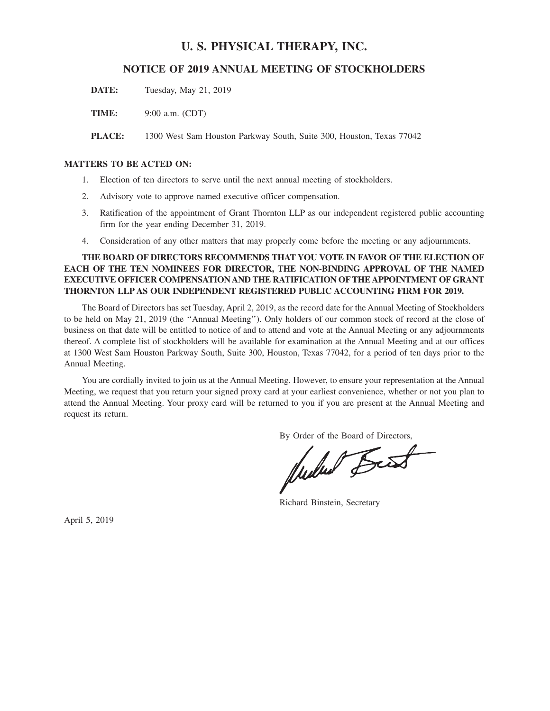# **U. S. PHYSICAL THERAPY, INC.**

# **NOTICE OF 2019 ANNUAL MEETING OF STOCKHOLDERS**

**DATE:** Tuesday, May 21, 2019

**TIME:** 9:00 a.m. (CDT)

**PLACE:** 1300 West Sam Houston Parkway South, Suite 300, Houston, Texas 77042

## **MATTERS TO BE ACTED ON:**

- 1. Election of ten directors to serve until the next annual meeting of stockholders.
- 2. Advisory vote to approve named executive officer compensation.
- 3. Ratification of the appointment of Grant Thornton LLP as our independent registered public accounting firm for the year ending December 31, 2019.
- 4. Consideration of any other matters that may properly come before the meeting or any adjournments.

# **THE BOARD OF DIRECTORS RECOMMENDS THAT YOU VOTE IN FAVOR OF THE ELECTION OF EACH OF THE TEN NOMINEES FOR DIRECTOR, THE NON-BINDING APPROVAL OF THE NAMED EXECUTIVE OFFICER COMPENSATION AND THE RATIFICATION OF THEAPPOINTMENT OF GRANT THORNTON LLP AS OUR INDEPENDENT REGISTERED PUBLIC ACCOUNTING FIRM FOR 2019.**

The Board of Directors has set Tuesday, April 2, 2019, as the record date for the Annual Meeting of Stockholders to be held on May 21, 2019 (the ''Annual Meeting''). Only holders of our common stock of record at the close of business on that date will be entitled to notice of and to attend and vote at the Annual Meeting or any adjournments thereof. A complete list of stockholders will be available for examination at the Annual Meeting and at our offices at 1300 West Sam Houston Parkway South, Suite 300, Houston, Texas 77042, for a period of ten days prior to the Annual Meeting.

You are cordially invited to join us at the Annual Meeting. However, to ensure your representation at the Annual Meeting, we request that you return your signed proxy card at your earliest convenience, whether or not you plan to attend the Annual Meeting. Your proxy card will be returned to you if you are present at the Annual Meeting and request its return.

By Order of the Board of Directors,<br>
Multured <del>Beess</del>

Richard Binstein, Secretary

April 5, 2019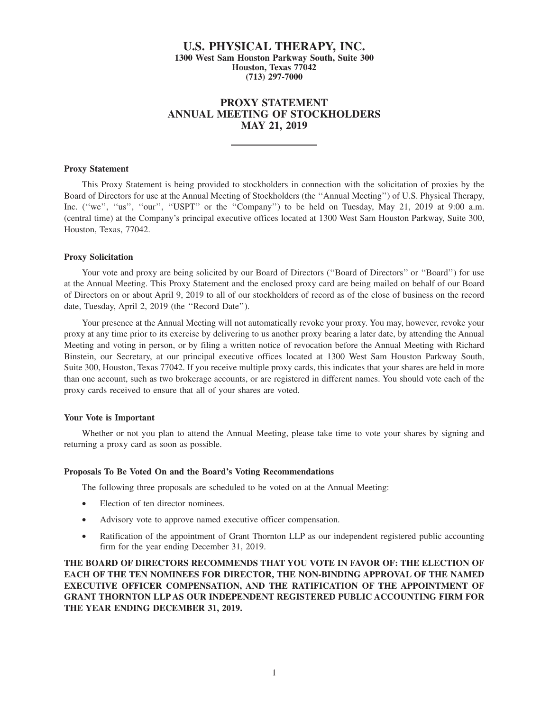# **U.S. PHYSICAL THERAPY, INC. 1300 West Sam Houston Parkway South, Suite 300 Houston, Texas 77042 (713) 297-7000**

# **PROXY STATEMENT ANNUAL MEETING OF STOCKHOLDERS MAY 21, 2019**

## **Proxy Statement**

This Proxy Statement is being provided to stockholders in connection with the solicitation of proxies by the Board of Directors for use at the Annual Meeting of Stockholders (the ''Annual Meeting'') of U.S. Physical Therapy, Inc. ("we", "us", "our", "USPT" or the "Company") to be held on Tuesday, May 21, 2019 at 9:00 a.m. (central time) at the Company's principal executive offices located at 1300 West Sam Houston Parkway, Suite 300, Houston, Texas, 77042.

## **Proxy Solicitation**

Your vote and proxy are being solicited by our Board of Directors ("Board of Directors" or "Board") for use at the Annual Meeting. This Proxy Statement and the enclosed proxy card are being mailed on behalf of our Board of Directors on or about April 9, 2019 to all of our stockholders of record as of the close of business on the record date, Tuesday, April 2, 2019 (the ''Record Date'').

Your presence at the Annual Meeting will not automatically revoke your proxy. You may, however, revoke your proxy at any time prior to its exercise by delivering to us another proxy bearing a later date, by attending the Annual Meeting and voting in person, or by filing a written notice of revocation before the Annual Meeting with Richard Binstein, our Secretary, at our principal executive offices located at 1300 West Sam Houston Parkway South, Suite 300, Houston, Texas 77042. If you receive multiple proxy cards, this indicates that your shares are held in more than one account, such as two brokerage accounts, or are registered in different names. You should vote each of the proxy cards received to ensure that all of your shares are voted.

#### **Your Vote is Important**

Whether or not you plan to attend the Annual Meeting, please take time to vote your shares by signing and returning a proxy card as soon as possible.

#### **Proposals To Be Voted On and the Board's Voting Recommendations**

The following three proposals are scheduled to be voted on at the Annual Meeting:

- Election of ten director nominees.
- Advisory vote to approve named executive officer compensation.
- Ratification of the appointment of Grant Thornton LLP as our independent registered public accounting firm for the year ending December 31, 2019.

**THE BOARD OF DIRECTORS RECOMMENDS THAT YOU VOTE IN FAVOR OF: THE ELECTION OF EACH OF THE TEN NOMINEES FOR DIRECTOR, THE NON-BINDING APPROVAL OF THE NAMED EXECUTIVE OFFICER COMPENSATION, AND THE RATIFICATION OF THE APPOINTMENT OF GRANT THORNTON LLP AS OUR INDEPENDENT REGISTERED PUBLIC ACCOUNTING FIRM FOR THE YEAR ENDING DECEMBER 31, 2019.**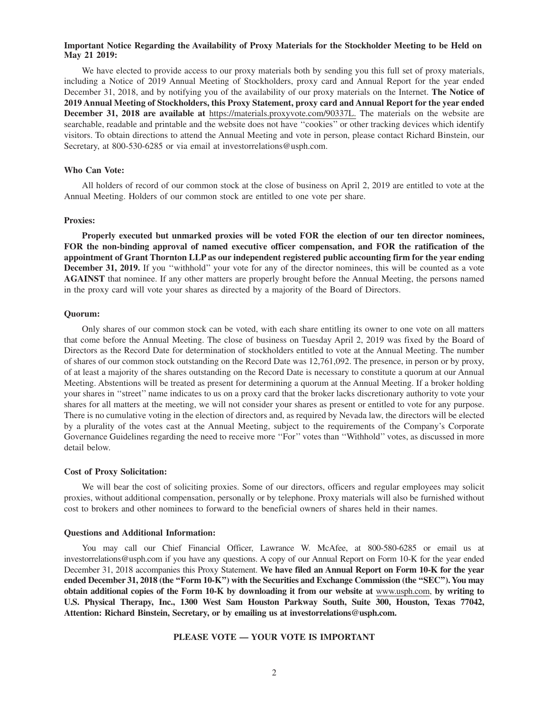## **Important Notice Regarding the Availability of Proxy Materials for the Stockholder Meeting to be Held on May 21 2019:**

We have elected to provide access to our proxy materials both by sending you this full set of proxy materials, including a Notice of 2019 Annual Meeting of Stockholders, proxy card and Annual Report for the year ended December 31, 2018, and by notifying you of the availability of our proxy materials on the Internet. **The Notice of 2019 Annual Meeting of Stockholders, this Proxy Statement, proxy card and Annual Report for the year ended December 31, 2018 are available at** https://materials.proxyvote.com/90337L. The materials on the website are searchable, readable and printable and the website does not have ''cookies'' or other tracking devices which identify visitors. To obtain directions to attend the Annual Meeting and vote in person, please contact Richard Binstein, our Secretary, at 800-530-6285 or via email at investorrelations@usph.com.

#### **Who Can Vote:**

All holders of record of our common stock at the close of business on April 2, 2019 are entitled to vote at the Annual Meeting. Holders of our common stock are entitled to one vote per share.

#### **Proxies:**

**Properly executed but unmarked proxies will be voted FOR the election of our ten director nominees, FOR the non-binding approval of named executive officer compensation, and FOR the ratification of the appointment of Grant Thornton LLP as our independent registered public accounting firm for the year ending December 31, 2019.** If you ''withhold'' your vote for any of the director nominees, this will be counted as a vote **AGAINST** that nominee. If any other matters are properly brought before the Annual Meeting, the persons named in the proxy card will vote your shares as directed by a majority of the Board of Directors.

#### **Quorum:**

Only shares of our common stock can be voted, with each share entitling its owner to one vote on all matters that come before the Annual Meeting. The close of business on Tuesday April 2, 2019 was fixed by the Board of Directors as the Record Date for determination of stockholders entitled to vote at the Annual Meeting. The number of shares of our common stock outstanding on the Record Date was 12,761,092. The presence, in person or by proxy, of at least a majority of the shares outstanding on the Record Date is necessary to constitute a quorum at our Annual Meeting. Abstentions will be treated as present for determining a quorum at the Annual Meeting. If a broker holding your shares in ''street'' name indicates to us on a proxy card that the broker lacks discretionary authority to vote your shares for all matters at the meeting, we will not consider your shares as present or entitled to vote for any purpose. There is no cumulative voting in the election of directors and, as required by Nevada law, the directors will be elected by a plurality of the votes cast at the Annual Meeting, subject to the requirements of the Company's Corporate Governance Guidelines regarding the need to receive more ''For'' votes than ''Withhold'' votes, as discussed in more detail below.

#### **Cost of Proxy Solicitation:**

We will bear the cost of soliciting proxies. Some of our directors, officers and regular employees may solicit proxies, without additional compensation, personally or by telephone. Proxy materials will also be furnished without cost to brokers and other nominees to forward to the beneficial owners of shares held in their names.

#### **Questions and Additional Information:**

You may call our Chief Financial Officer, Lawrance W. McAfee, at 800-580-6285 or email us at investorrelations@usph.com if you have any questions. A copy of our Annual Report on Form 10-K for the year ended December 31, 2018 accompanies this Proxy Statement. **We have filed an Annual Report on Form 10-K for the year ended December 31, 2018 (the ''Form 10-K'') with the Securities and Exchange Commission (the ''SEC''). You may obtain additional copies of the Form 10-K by downloading it from our website at** www.usph.com, **by writing to U.S. Physical Therapy, Inc., 1300 West Sam Houston Parkway South, Suite 300, Houston, Texas 77042, Attention: Richard Binstein, Secretary, or by emailing us at investorrelations@usph.com.**

## **PLEASE VOTE — YOUR VOTE IS IMPORTANT**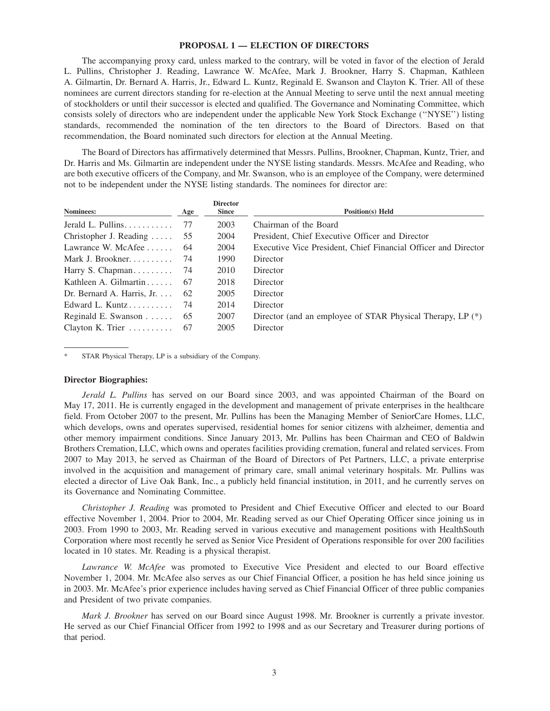## **PROPOSAL 1 — ELECTION OF DIRECTORS**

The accompanying proxy card, unless marked to the contrary, will be voted in favor of the election of Jerald L. Pullins, Christopher J. Reading, Lawrance W. McAfee, Mark J. Brookner, Harry S. Chapman, Kathleen A. Gilmartin, Dr. Bernard A. Harris, Jr., Edward L. Kuntz, Reginald E. Swanson and Clayton K. Trier. All of these nominees are current directors standing for re-election at the Annual Meeting to serve until the next annual meeting of stockholders or until their successor is elected and qualified. The Governance and Nominating Committee, which consists solely of directors who are independent under the applicable New York Stock Exchange (''NYSE'') listing standards, recommended the nomination of the ten directors to the Board of Directors. Based on that recommendation, the Board nominated such directors for election at the Annual Meeting.

The Board of Directors has affirmatively determined that Messrs. Pullins, Brookner, Chapman, Kuntz, Trier, and Dr. Harris and Ms. Gilmartin are independent under the NYSE listing standards. Messrs. McAfee and Reading, who are both executive officers of the Company, and Mr. Swanson, who is an employee of the Company, were determined not to be independent under the NYSE listing standards. The nominees for director are:

| Age                                      | <b>Director</b><br><b>Since</b> | <b>Position(s)</b> Held                                        |
|------------------------------------------|---------------------------------|----------------------------------------------------------------|
| 77                                       | 2003                            | Chairman of the Board                                          |
| Christopher J. Reading $\dots$<br>55     | 2004                            | President, Chief Executive Officer and Director                |
| 64                                       | 2004                            | Executive Vice President, Chief Financial Officer and Director |
| 74                                       | 1990                            | Director                                                       |
| Harry S. Chapman<br>-74                  | 2010                            | Director                                                       |
| 67                                       | 2018                            | Director                                                       |
| Dr. Bernard A. Harris, Jr. $\dots$<br>62 | 2005                            | Director                                                       |
| 74                                       | 2014                            | Director                                                       |
| Reginald E. Swanson $\ldots$<br>65       | 2007                            | Director (and an employee of STAR Physical Therapy, LP (*)     |
| Clayton K. Trier $\dots\dots\dots$<br>67 | 2005                            | Director                                                       |
|                                          |                                 |                                                                |

STAR Physical Therapy, LP is a subsidiary of the Company.

#### **Director Biographies:**

*Jerald L. Pullins* has served on our Board since 2003, and was appointed Chairman of the Board on May 17, 2011. He is currently engaged in the development and management of private enterprises in the healthcare field. From October 2007 to the present, Mr. Pullins has been the Managing Member of SeniorCare Homes, LLC, which develops, owns and operates supervised, residential homes for senior citizens with alzheimer, dementia and other memory impairment conditions. Since January 2013, Mr. Pullins has been Chairman and CEO of Baldwin Brothers Cremation, LLC, which owns and operates facilities providing cremation, funeral and related services. From 2007 to May 2013, he served as Chairman of the Board of Directors of Pet Partners, LLC, a private enterprise involved in the acquisition and management of primary care, small animal veterinary hospitals. Mr. Pullins was elected a director of Live Oak Bank, Inc., a publicly held financial institution, in 2011, and he currently serves on its Governance and Nominating Committee.

*Christopher J. Reading* was promoted to President and Chief Executive Officer and elected to our Board effective November 1, 2004. Prior to 2004, Mr. Reading served as our Chief Operating Officer since joining us in 2003. From 1990 to 2003, Mr. Reading served in various executive and management positions with HealthSouth Corporation where most recently he served as Senior Vice President of Operations responsible for over 200 facilities located in 10 states. Mr. Reading is a physical therapist.

*Lawrance W. McAfee* was promoted to Executive Vice President and elected to our Board effective November 1, 2004. Mr. McAfee also serves as our Chief Financial Officer, a position he has held since joining us in 2003. Mr. McAfee's prior experience includes having served as Chief Financial Officer of three public companies and President of two private companies.

*Mark J. Brookner* has served on our Board since August 1998. Mr. Brookner is currently a private investor. He served as our Chief Financial Officer from 1992 to 1998 and as our Secretary and Treasurer during portions of that period.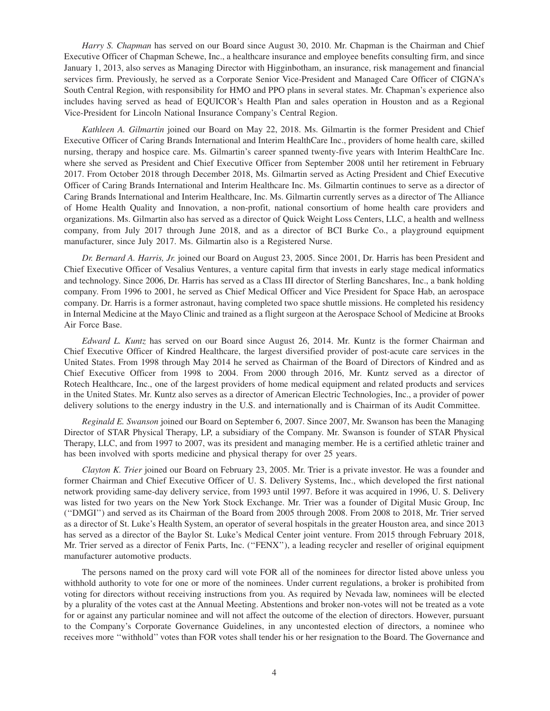*Harry S. Chapman* has served on our Board since August 30, 2010. Mr. Chapman is the Chairman and Chief Executive Officer of Chapman Schewe, Inc., a healthcare insurance and employee benefits consulting firm, and since January 1, 2013, also serves as Managing Director with Higginbotham, an insurance, risk management and financial services firm. Previously, he served as a Corporate Senior Vice-President and Managed Care Officer of CIGNA's South Central Region, with responsibility for HMO and PPO plans in several states. Mr. Chapman's experience also includes having served as head of EQUICOR's Health Plan and sales operation in Houston and as a Regional Vice-President for Lincoln National Insurance Company's Central Region.

*Kathleen A. Gilmartin* joined our Board on May 22, 2018. Ms. Gilmartin is the former President and Chief Executive Officer of Caring Brands International and Interim HealthCare Inc., providers of home health care, skilled nursing, therapy and hospice care. Ms. Gilmartin's career spanned twenty-five years with Interim HealthCare Inc. where she served as President and Chief Executive Officer from September 2008 until her retirement in February 2017. From October 2018 through December 2018, Ms. Gilmartin served as Acting President and Chief Executive Officer of Caring Brands International and Interim Healthcare Inc. Ms. Gilmartin continues to serve as a director of Caring Brands International and Interim Healthcare, Inc. Ms. Gilmartin currently serves as a director of The Alliance of Home Health Quality and Innovation, a non-profit, national consortium of home health care providers and organizations. Ms. Gilmartin also has served as a director of Quick Weight Loss Centers, LLC, a health and wellness company, from July 2017 through June 2018, and as a director of BCI Burke Co., a playground equipment manufacturer, since July 2017. Ms. Gilmartin also is a Registered Nurse.

*Dr. Bernard A. Harris, Jr.* joined our Board on August 23, 2005. Since 2001, Dr. Harris has been President and Chief Executive Officer of Vesalius Ventures, a venture capital firm that invests in early stage medical informatics and technology. Since 2006, Dr. Harris has served as a Class III director of Sterling Bancshares, Inc., a bank holding company. From 1996 to 2001, he served as Chief Medical Officer and Vice President for Space Hab, an aerospace company. Dr. Harris is a former astronaut, having completed two space shuttle missions. He completed his residency in Internal Medicine at the Mayo Clinic and trained as a flight surgeon at the Aerospace School of Medicine at Brooks Air Force Base.

*Edward L. Kuntz* has served on our Board since August 26, 2014. Mr. Kuntz is the former Chairman and Chief Executive Officer of Kindred Healthcare, the largest diversified provider of post-acute care services in the United States. From 1998 through May 2014 he served as Chairman of the Board of Directors of Kindred and as Chief Executive Officer from 1998 to 2004. From 2000 through 2016, Mr. Kuntz served as a director of Rotech Healthcare, Inc., one of the largest providers of home medical equipment and related products and services in the United States. Mr. Kuntz also serves as a director of American Electric Technologies, Inc., a provider of power delivery solutions to the energy industry in the U.S. and internationally and is Chairman of its Audit Committee.

*Reginald E. Swanson* joined our Board on September 6, 2007. Since 2007, Mr. Swanson has been the Managing Director of STAR Physical Therapy, LP, a subsidiary of the Company. Mr. Swanson is founder of STAR Physical Therapy, LLC, and from 1997 to 2007, was its president and managing member. He is a certified athletic trainer and has been involved with sports medicine and physical therapy for over 25 years.

*Clayton K. Trier* joined our Board on February 23, 2005. Mr. Trier is a private investor. He was a founder and former Chairman and Chief Executive Officer of U. S. Delivery Systems, Inc., which developed the first national network providing same-day delivery service, from 1993 until 1997. Before it was acquired in 1996, U. S. Delivery was listed for two years on the New York Stock Exchange. Mr. Trier was a founder of Digital Music Group, Inc (''DMGI'') and served as its Chairman of the Board from 2005 through 2008. From 2008 to 2018, Mr. Trier served as a director of St. Luke's Health System, an operator of several hospitals in the greater Houston area, and since 2013 has served as a director of the Baylor St. Luke's Medical Center joint venture. From 2015 through February 2018, Mr. Trier served as a director of Fenix Parts, Inc. (''FENX''), a leading recycler and reseller of original equipment manufacturer automotive products.

The persons named on the proxy card will vote FOR all of the nominees for director listed above unless you withhold authority to vote for one or more of the nominees. Under current regulations, a broker is prohibited from voting for directors without receiving instructions from you. As required by Nevada law, nominees will be elected by a plurality of the votes cast at the Annual Meeting. Abstentions and broker non-votes will not be treated as a vote for or against any particular nominee and will not affect the outcome of the election of directors. However, pursuant to the Company's Corporate Governance Guidelines, in any uncontested election of directors, a nominee who receives more ''withhold'' votes than FOR votes shall tender his or her resignation to the Board. The Governance and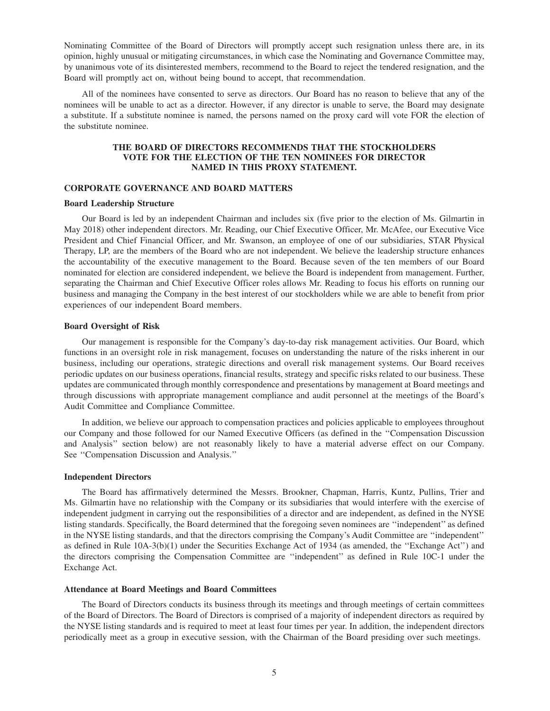Nominating Committee of the Board of Directors will promptly accept such resignation unless there are, in its opinion, highly unusual or mitigating circumstances, in which case the Nominating and Governance Committee may, by unanimous vote of its disinterested members, recommend to the Board to reject the tendered resignation, and the Board will promptly act on, without being bound to accept, that recommendation.

All of the nominees have consented to serve as directors. Our Board has no reason to believe that any of the nominees will be unable to act as a director. However, if any director is unable to serve, the Board may designate a substitute. If a substitute nominee is named, the persons named on the proxy card will vote FOR the election of the substitute nominee.

## **THE BOARD OF DIRECTORS RECOMMENDS THAT THE STOCKHOLDERS VOTE FOR THE ELECTION OF THE TEN NOMINEES FOR DIRECTOR NAMED IN THIS PROXY STATEMENT.**

## **CORPORATE GOVERNANCE AND BOARD MATTERS**

#### **Board Leadership Structure**

Our Board is led by an independent Chairman and includes six (five prior to the election of Ms. Gilmartin in May 2018) other independent directors. Mr. Reading, our Chief Executive Officer, Mr. McAfee, our Executive Vice President and Chief Financial Officer, and Mr. Swanson, an employee of one of our subsidiaries, STAR Physical Therapy, LP, are the members of the Board who are not independent. We believe the leadership structure enhances the accountability of the executive management to the Board. Because seven of the ten members of our Board nominated for election are considered independent, we believe the Board is independent from management. Further, separating the Chairman and Chief Executive Officer roles allows Mr. Reading to focus his efforts on running our business and managing the Company in the best interest of our stockholders while we are able to benefit from prior experiences of our independent Board members.

#### **Board Oversight of Risk**

Our management is responsible for the Company's day-to-day risk management activities. Our Board, which functions in an oversight role in risk management, focuses on understanding the nature of the risks inherent in our business, including our operations, strategic directions and overall risk management systems. Our Board receives periodic updates on our business operations, financial results, strategy and specific risks related to our business. These updates are communicated through monthly correspondence and presentations by management at Board meetings and through discussions with appropriate management compliance and audit personnel at the meetings of the Board's Audit Committee and Compliance Committee.

In addition, we believe our approach to compensation practices and policies applicable to employees throughout our Company and those followed for our Named Executive Officers (as defined in the ''Compensation Discussion and Analysis'' section below) are not reasonably likely to have a material adverse effect on our Company. See ''Compensation Discussion and Analysis.''

#### **Independent Directors**

The Board has affirmatively determined the Messrs. Brookner, Chapman, Harris, Kuntz, Pullins, Trier and Ms. Gilmartin have no relationship with the Company or its subsidiaries that would interfere with the exercise of independent judgment in carrying out the responsibilities of a director and are independent, as defined in the NYSE listing standards. Specifically, the Board determined that the foregoing seven nominees are ''independent'' as defined in the NYSE listing standards, and that the directors comprising the Company's Audit Committee are ''independent'' as defined in Rule 10A-3(b)(1) under the Securities Exchange Act of 1934 (as amended, the ''Exchange Act'') and the directors comprising the Compensation Committee are ''independent'' as defined in Rule 10C-1 under the Exchange Act.

#### **Attendance at Board Meetings and Board Committees**

The Board of Directors conducts its business through its meetings and through meetings of certain committees of the Board of Directors. The Board of Directors is comprised of a majority of independent directors as required by the NYSE listing standards and is required to meet at least four times per year. In addition, the independent directors periodically meet as a group in executive session, with the Chairman of the Board presiding over such meetings.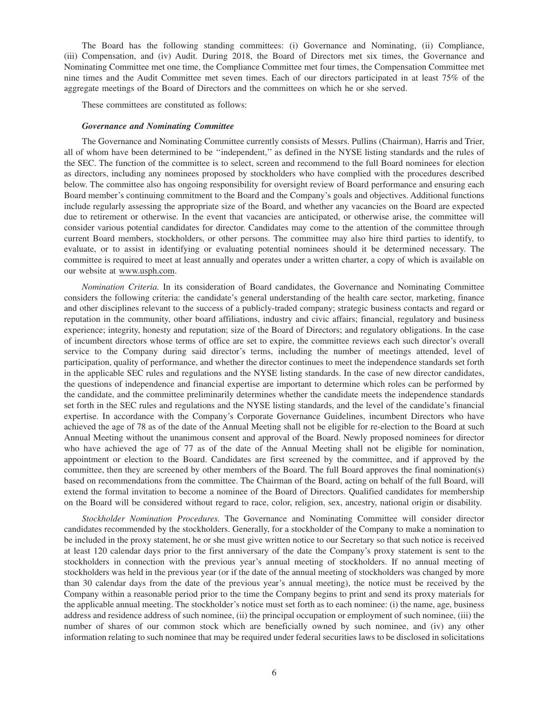The Board has the following standing committees: (i) Governance and Nominating, (ii) Compliance, (iii) Compensation, and (iv) Audit. During 2018, the Board of Directors met six times, the Governance and Nominating Committee met one time, the Compliance Committee met four times, the Compensation Committee met nine times and the Audit Committee met seven times. Each of our directors participated in at least 75% of the aggregate meetings of the Board of Directors and the committees on which he or she served.

These committees are constituted as follows:

#### *Governance and Nominating Committee*

The Governance and Nominating Committee currently consists of Messrs. Pullins (Chairman), Harris and Trier, all of whom have been determined to be ''independent,'' as defined in the NYSE listing standards and the rules of the SEC. The function of the committee is to select, screen and recommend to the full Board nominees for election as directors, including any nominees proposed by stockholders who have complied with the procedures described below. The committee also has ongoing responsibility for oversight review of Board performance and ensuring each Board member's continuing commitment to the Board and the Company's goals and objectives. Additional functions include regularly assessing the appropriate size of the Board, and whether any vacancies on the Board are expected due to retirement or otherwise. In the event that vacancies are anticipated, or otherwise arise, the committee will consider various potential candidates for director. Candidates may come to the attention of the committee through current Board members, stockholders, or other persons. The committee may also hire third parties to identify, to evaluate, or to assist in identifying or evaluating potential nominees should it be determined necessary. The committee is required to meet at least annually and operates under a written charter, a copy of which is available on our website at www.usph.com.

*Nomination Criteria.* In its consideration of Board candidates, the Governance and Nominating Committee considers the following criteria: the candidate's general understanding of the health care sector, marketing, finance and other disciplines relevant to the success of a publicly-traded company; strategic business contacts and regard or reputation in the community, other board affiliations, industry and civic affairs; financial, regulatory and business experience; integrity, honesty and reputation; size of the Board of Directors; and regulatory obligations. In the case of incumbent directors whose terms of office are set to expire, the committee reviews each such director's overall service to the Company during said director's terms, including the number of meetings attended, level of participation, quality of performance, and whether the director continues to meet the independence standards set forth in the applicable SEC rules and regulations and the NYSE listing standards. In the case of new director candidates, the questions of independence and financial expertise are important to determine which roles can be performed by the candidate, and the committee preliminarily determines whether the candidate meets the independence standards set forth in the SEC rules and regulations and the NYSE listing standards, and the level of the candidate's financial expertise. In accordance with the Company's Corporate Governance Guidelines, incumbent Directors who have achieved the age of 78 as of the date of the Annual Meeting shall not be eligible for re-election to the Board at such Annual Meeting without the unanimous consent and approval of the Board. Newly proposed nominees for director who have achieved the age of 77 as of the date of the Annual Meeting shall not be eligible for nomination, appointment or election to the Board. Candidates are first screened by the committee, and if approved by the committee, then they are screened by other members of the Board. The full Board approves the final nomination(s) based on recommendations from the committee. The Chairman of the Board, acting on behalf of the full Board, will extend the formal invitation to become a nominee of the Board of Directors. Qualified candidates for membership on the Board will be considered without regard to race, color, religion, sex, ancestry, national origin or disability.

*Stockholder Nomination Procedures.* The Governance and Nominating Committee will consider director candidates recommended by the stockholders. Generally, for a stockholder of the Company to make a nomination to be included in the proxy statement, he or she must give written notice to our Secretary so that such notice is received at least 120 calendar days prior to the first anniversary of the date the Company's proxy statement is sent to the stockholders in connection with the previous year's annual meeting of stockholders. If no annual meeting of stockholders was held in the previous year (or if the date of the annual meeting of stockholders was changed by more than 30 calendar days from the date of the previous year's annual meeting), the notice must be received by the Company within a reasonable period prior to the time the Company begins to print and send its proxy materials for the applicable annual meeting. The stockholder's notice must set forth as to each nominee: (i) the name, age, business address and residence address of such nominee, (ii) the principal occupation or employment of such nominee, (iii) the number of shares of our common stock which are beneficially owned by such nominee, and (iv) any other information relating to such nominee that may be required under federal securities laws to be disclosed in solicitations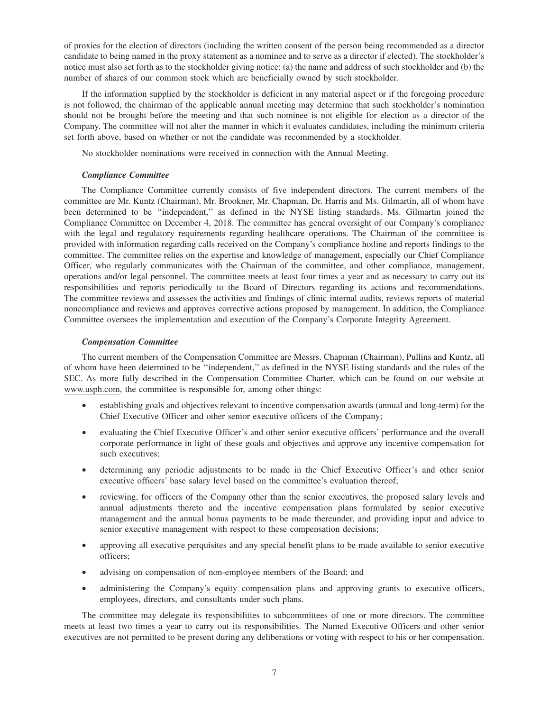of proxies for the election of directors (including the written consent of the person being recommended as a director candidate to being named in the proxy statement as a nominee and to serve as a director if elected). The stockholder's notice must also set forth as to the stockholder giving notice: (a) the name and address of such stockholder and (b) the number of shares of our common stock which are beneficially owned by such stockholder.

If the information supplied by the stockholder is deficient in any material aspect or if the foregoing procedure is not followed, the chairman of the applicable annual meeting may determine that such stockholder's nomination should not be brought before the meeting and that such nominee is not eligible for election as a director of the Company. The committee will not alter the manner in which it evaluates candidates, including the minimum criteria set forth above, based on whether or not the candidate was recommended by a stockholder.

No stockholder nominations were received in connection with the Annual Meeting.

## *Compliance Committee*

The Compliance Committee currently consists of five independent directors. The current members of the committee are Mr. Kuntz (Chairman), Mr. Brookner, Mr. Chapman, Dr. Harris and Ms. Gilmartin, all of whom have been determined to be ''independent,'' as defined in the NYSE listing standards. Ms. Gilmartin joined the Compliance Committee on December 4, 2018. The committee has general oversight of our Company's compliance with the legal and regulatory requirements regarding healthcare operations. The Chairman of the committee is provided with information regarding calls received on the Company's compliance hotline and reports findings to the committee. The committee relies on the expertise and knowledge of management, especially our Chief Compliance Officer, who regularly communicates with the Chairman of the committee, and other compliance, management, operations and/or legal personnel. The committee meets at least four times a year and as necessary to carry out its responsibilities and reports periodically to the Board of Directors regarding its actions and recommendations. The committee reviews and assesses the activities and findings of clinic internal audits, reviews reports of material noncompliance and reviews and approves corrective actions proposed by management. In addition, the Compliance Committee oversees the implementation and execution of the Company's Corporate Integrity Agreement.

#### *Compensation Committee*

The current members of the Compensation Committee are Messrs. Chapman (Chairman), Pullins and Kuntz, all of whom have been determined to be ''independent,'' as defined in the NYSE listing standards and the rules of the SEC. As more fully described in the Compensation Committee Charter, which can be found on our website at www.usph.com, the committee is responsible for, among other things:

- establishing goals and objectives relevant to incentive compensation awards (annual and long-term) for the Chief Executive Officer and other senior executive officers of the Company;
- evaluating the Chief Executive Officer's and other senior executive officers' performance and the overall corporate performance in light of these goals and objectives and approve any incentive compensation for such executives;
- determining any periodic adjustments to be made in the Chief Executive Officer's and other senior executive officers' base salary level based on the committee's evaluation thereof;
- reviewing, for officers of the Company other than the senior executives, the proposed salary levels and annual adjustments thereto and the incentive compensation plans formulated by senior executive management and the annual bonus payments to be made thereunder, and providing input and advice to senior executive management with respect to these compensation decisions;
- approving all executive perquisites and any special benefit plans to be made available to senior executive officers;
- advising on compensation of non-employee members of the Board; and
- administering the Company's equity compensation plans and approving grants to executive officers, employees, directors, and consultants under such plans.

The committee may delegate its responsibilities to subcommittees of one or more directors. The committee meets at least two times a year to carry out its responsibilities. The Named Executive Officers and other senior executives are not permitted to be present during any deliberations or voting with respect to his or her compensation.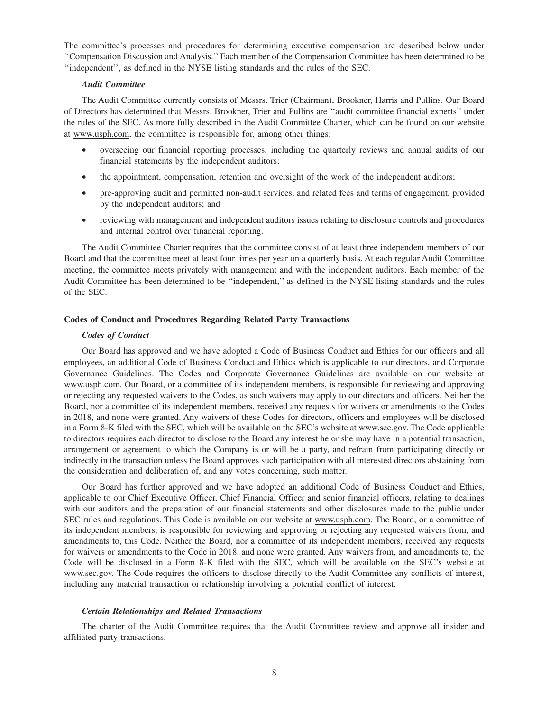The committee's processes and procedures for determining executive compensation are described below under ''Compensation Discussion and Analysis.'' Each member of the Compensation Committee has been determined to be ''independent'', as defined in the NYSE listing standards and the rules of the SEC.

#### *Audit Committee*

The Audit Committee currently consists of Messrs. Trier (Chairman), Brookner, Harris and Pullins. Our Board of Directors has determined that Messrs. Brookner, Trier and Pullins are ''audit committee financial experts'' under the rules of the SEC. As more fully described in the Audit Committee Charter, which can be found on our website at www.usph.com, the committee is responsible for, among other things:

- overseeing our financial reporting processes, including the quarterly reviews and annual audits of our financial statements by the independent auditors;
- the appointment, compensation, retention and oversight of the work of the independent auditors;
- pre-approving audit and permitted non-audit services, and related fees and terms of engagement, provided by the independent auditors; and
- reviewing with management and independent auditors issues relating to disclosure controls and procedures and internal control over financial reporting.

The Audit Committee Charter requires that the committee consist of at least three independent members of our Board and that the committee meet at least four times per year on a quarterly basis. At each regular Audit Committee meeting, the committee meets privately with management and with the independent auditors. Each member of the Audit Committee has been determined to be ''independent,'' as defined in the NYSE listing standards and the rules of the SEC.

#### **Codes of Conduct and Procedures Regarding Related Party Transactions**

#### *Codes of Conduct*

Our Board has approved and we have adopted a Code of Business Conduct and Ethics for our officers and all employees, an additional Code of Business Conduct and Ethics which is applicable to our directors, and Corporate Governance Guidelines. The Codes and Corporate Governance Guidelines are available on our website at www.usph.com. Our Board, or a committee of its independent members, is responsible for reviewing and approving or rejecting any requested waivers to the Codes, as such waivers may apply to our directors and officers. Neither the Board, nor a committee of its independent members, received any requests for waivers or amendments to the Codes in 2018, and none were granted. Any waivers of these Codes for directors, officers and employees will be disclosed in a Form 8-K filed with the SEC, which will be available on the SEC's website at www.sec.gov. The Code applicable to directors requires each director to disclose to the Board any interest he or she may have in a potential transaction, arrangement or agreement to which the Company is or will be a party, and refrain from participating directly or indirectly in the transaction unless the Board approves such participation with all interested directors abstaining from the consideration and deliberation of, and any votes concerning, such matter.

Our Board has further approved and we have adopted an additional Code of Business Conduct and Ethics, applicable to our Chief Executive Officer, Chief Financial Officer and senior financial officers, relating to dealings with our auditors and the preparation of our financial statements and other disclosures made to the public under SEC rules and regulations. This Code is available on our website at www.usph.com. The Board, or a committee of its independent members, is responsible for reviewing and approving or rejecting any requested waivers from, and amendments to, this Code. Neither the Board, nor a committee of its independent members, received any requests for waivers or amendments to the Code in 2018, and none were granted. Any waivers from, and amendments to, the Code will be disclosed in a Form 8-K filed with the SEC, which will be available on the SEC's website at www.sec.gov. The Code requires the officers to disclose directly to the Audit Committee any conflicts of interest, including any material transaction or relationship involving a potential conflict of interest.

#### *Certain Relationships and Related Transactions*

The charter of the Audit Committee requires that the Audit Committee review and approve all insider and affiliated party transactions.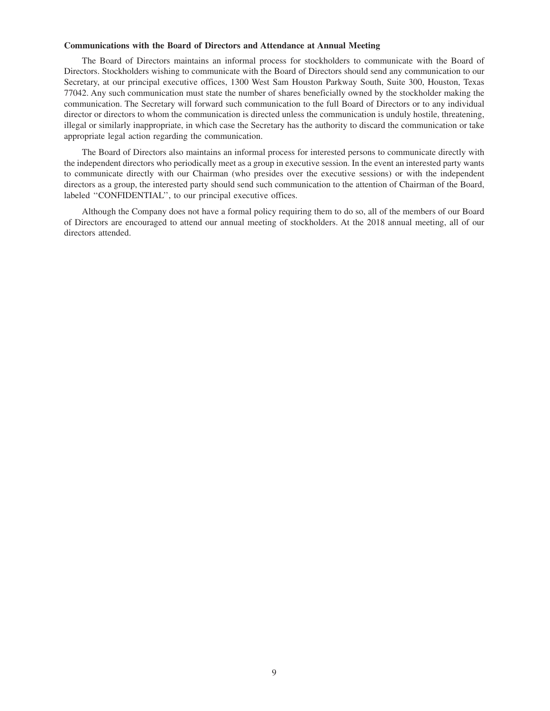## **Communications with the Board of Directors and Attendance at Annual Meeting**

The Board of Directors maintains an informal process for stockholders to communicate with the Board of Directors. Stockholders wishing to communicate with the Board of Directors should send any communication to our Secretary, at our principal executive offices, 1300 West Sam Houston Parkway South, Suite 300, Houston, Texas 77042. Any such communication must state the number of shares beneficially owned by the stockholder making the communication. The Secretary will forward such communication to the full Board of Directors or to any individual director or directors to whom the communication is directed unless the communication is unduly hostile, threatening, illegal or similarly inappropriate, in which case the Secretary has the authority to discard the communication or take appropriate legal action regarding the communication.

The Board of Directors also maintains an informal process for interested persons to communicate directly with the independent directors who periodically meet as a group in executive session. In the event an interested party wants to communicate directly with our Chairman (who presides over the executive sessions) or with the independent directors as a group, the interested party should send such communication to the attention of Chairman of the Board, labeled ''CONFIDENTIAL'', to our principal executive offices.

Although the Company does not have a formal policy requiring them to do so, all of the members of our Board of Directors are encouraged to attend our annual meeting of stockholders. At the 2018 annual meeting, all of our directors attended.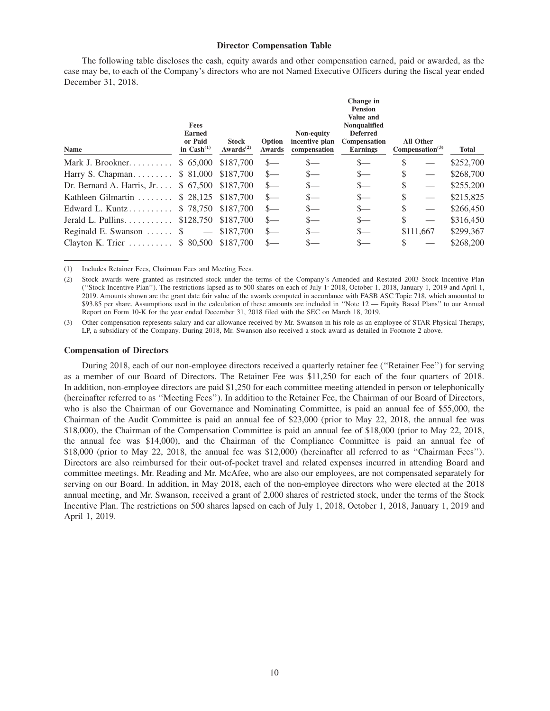#### **Director Compensation Table**

The following table discloses the cash, equity awards and other compensation earned, paid or awarded, as the case may be, to each of the Company's directors who are not Named Executive Officers during the fiscal year ended December 31, 2018.

| Name                                                    | <b>Fees</b><br><b>Earned</b><br>or Paid<br>in $Cash(1)$ | <b>Stock</b><br>Awards <sup><math>(2)</math></sup> | Option<br>Awards | Non-equity<br>incentive plan<br>compensation | Change in<br><b>Pension</b><br>Value and<br>Nonqualified<br><b>Deferred</b><br>Compensation<br><b>Earnings</b> |     | <b>All Other</b><br>Compensation <sup>(3)</sup> | Total     |
|---------------------------------------------------------|---------------------------------------------------------|----------------------------------------------------|------------------|----------------------------------------------|----------------------------------------------------------------------------------------------------------------|-----|-------------------------------------------------|-----------|
| Mark J. Brookner.                                       | \$65,000                                                | \$187.700                                          | $S-$             |                                              | $\mathbf{S}$                                                                                                   | \$. |                                                 | \$252,700 |
| Harry S. Chapman                                        | \$ 81,000                                               | \$187,700                                          | $\frac{S}{2}$    | S—                                           | $S-$                                                                                                           | \$  |                                                 | \$268,700 |
| Dr. Bernard A. Harris, Jr. $\ldots$ \$ 67,500 \$187,700 |                                                         |                                                    | $S-$             | S—                                           | $s-$                                                                                                           | \$  |                                                 | \$255,200 |
| Kathleen Gilmartin                                      |                                                         | \$28,125 \$187,700                                 | $S-$             | S—                                           | $\frac{\ }{s-}$                                                                                                | \$  |                                                 | \$215,825 |
| Edward L. Kuntz                                         | \$78,750 \$187,700                                      |                                                    | $S-$             | $S-$                                         | $s-$                                                                                                           | \$  |                                                 | \$266,450 |
| Jerald L. Pullins.                                      | \$128,750 \$187,700                                     |                                                    | $S-$             | $S-$                                         | $S-$                                                                                                           | \$  |                                                 | \$316,450 |
| Reginald E. Swanson $\dots$ \$                          | $\overline{\phantom{m}}$                                | \$187,700                                          | $S-$             |                                              | $S-$                                                                                                           |     | \$111,667                                       | \$299,367 |
| Clayton K. Trier $\dots \dots$ \$ 80,500                |                                                         | \$187.700                                          |                  |                                              |                                                                                                                |     |                                                 | \$268,200 |

(1) Includes Retainer Fees, Chairman Fees and Meeting Fees.

(3) Other compensation represents salary and car allowance received by Mr. Swanson in his role as an employee of STAR Physical Therapy, LP, a subsidiary of the Company. During 2018, Mr. Swanson also received a stock award as detailed in Footnote 2 above.

#### **Compensation of Directors**

During 2018, each of our non-employee directors received a quarterly retainer fee (''Retainer Fee'') for serving as a member of our Board of Directors. The Retainer Fee was \$11,250 for each of the four quarters of 2018. In addition, non-employee directors are paid \$1,250 for each committee meeting attended in person or telephonically (hereinafter referred to as ''Meeting Fees''). In addition to the Retainer Fee, the Chairman of our Board of Directors, who is also the Chairman of our Governance and Nominating Committee, is paid an annual fee of \$55,000, the Chairman of the Audit Committee is paid an annual fee of \$23,000 (prior to May 22, 2018, the annual fee was \$18,000), the Chairman of the Compensation Committee is paid an annual fee of \$18,000 (prior to May 22, 2018, the annual fee was \$14,000), and the Chairman of the Compliance Committee is paid an annual fee of \$18,000 (prior to May 22, 2018, the annual fee was \$12,000) (hereinafter all referred to as ''Chairman Fees''). Directors are also reimbursed for their out-of-pocket travel and related expenses incurred in attending Board and committee meetings. Mr. Reading and Mr. McAfee, who are also our employees, are not compensated separately for serving on our Board. In addition, in May 2018, each of the non-employee directors who were elected at the 2018 annual meeting, and Mr. Swanson, received a grant of 2,000 shares of restricted stock, under the terms of the Stock Incentive Plan. The restrictions on 500 shares lapsed on each of July 1, 2018, October 1, 2018, January 1, 2019 and April 1, 2019.

<sup>(2)</sup> Stock awards were granted as restricted stock under the terms of the Company's Amended and Restated 2003 Stock Incentive Plan (''Stock Incentive Plan''). The restrictions lapsed as to 500 shares on each of July 1, 2018, October 1, 2018, January 1, 2019 and April 1, 2019. Amounts shown are the grant date fair value of the awards computed in accordance with FASB ASC Topic 718, which amounted to \$93.85 per share. Assumptions used in the calculation of these amounts are included in ''Note 12 — Equity Based Plans'' to our Annual Report on Form 10-K for the year ended December 31, 2018 filed with the SEC on March 18, 2019.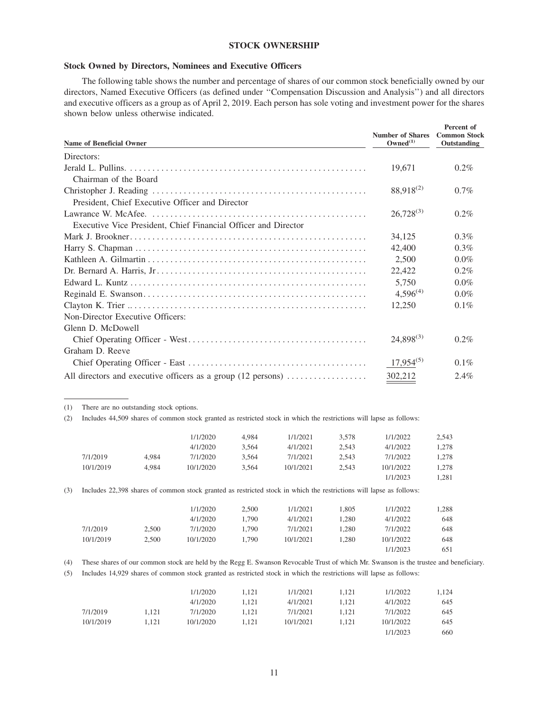## **STOCK OWNERSHIP**

## **Stock Owned by Directors, Nominees and Executive Officers**

The following table shows the number and percentage of shares of our common stock beneficially owned by our directors, Named Executive Officers (as defined under ''Compensation Discussion and Analysis'') and all directors and executive officers as a group as of April 2, 2019. Each person has sole voting and investment power for the shares shown below unless otherwise indicated.

| <b>Name of Beneficial Owner</b>                                                                | <b>Number of Shares</b><br>Owned <sup>(1)</sup> | Percent of<br><b>Common Stock</b><br>Outstanding |
|------------------------------------------------------------------------------------------------|-------------------------------------------------|--------------------------------------------------|
| Directors:                                                                                     |                                                 |                                                  |
|                                                                                                | 19,671                                          | $0.2\%$                                          |
| Chairman of the Board                                                                          |                                                 |                                                  |
|                                                                                                | 88,918 <sup>(2)</sup>                           | $0.7\%$                                          |
| President, Chief Executive Officer and Director                                                |                                                 |                                                  |
|                                                                                                | $26,728^{(3)}$                                  | $0.2\%$                                          |
| Executive Vice President, Chief Financial Officer and Director                                 |                                                 |                                                  |
|                                                                                                | 34,125                                          | $0.3\%$                                          |
|                                                                                                | 42,400                                          | $0.3\%$                                          |
|                                                                                                | 2,500                                           | $0.0\%$                                          |
|                                                                                                | 22,422                                          | $0.2\%$                                          |
|                                                                                                | 5,750                                           | $0.0\%$                                          |
|                                                                                                | $4,596^{(4)}$                                   | $0.0\%$                                          |
|                                                                                                | 12,250                                          | $0.1\%$                                          |
| Non-Director Executive Officers:                                                               |                                                 |                                                  |
| Glenn D. McDowell                                                                              |                                                 |                                                  |
|                                                                                                | $24,898^{(3)}$                                  | $0.2\%$                                          |
| Graham D. Reeve                                                                                |                                                 |                                                  |
|                                                                                                | $17,954^{(5)}$                                  | $0.1\%$                                          |
| All directors and executive officers as a group $(12 \text{ persons}) \dots \dots \dots \dots$ | 302,212                                         | $2.4\%$                                          |

(1) There are no outstanding stock options.

(2) Includes 44,509 shares of common stock granted as restricted stock in which the restrictions will lapse as follows:

|           |       | 1/1/2020  | 4,984 | 1/1/2021                                                                                                            | 3,578 | 1/1/2022  | 2,543 |
|-----------|-------|-----------|-------|---------------------------------------------------------------------------------------------------------------------|-------|-----------|-------|
|           |       | 4/1/2020  | 3,564 | 4/1/2021                                                                                                            | 2,543 | 4/1/2022  | 1,278 |
| 7/1/2019  | 4.984 | 7/1/2020  | 3,564 | 7/1/2021                                                                                                            | 2,543 | 7/1/2022  | 1,278 |
| 10/1/2019 | 4.984 | 10/1/2020 | 3,564 | 10/1/2021                                                                                                           | 2,543 | 10/1/2022 | 1,278 |
|           |       |           |       |                                                                                                                     |       | 1/1/2023  | 1,281 |
|           |       |           |       | Includes 22,398 shares of common stock granted as restricted stock in which the restrictions will lapse as follows: |       |           |       |
|           |       |           |       |                                                                                                                     |       |           |       |
|           |       | 1/1/2020  | 2.500 | 1/1/2021                                                                                                            | 1.805 | 1/1/2022  | 1,288 |
|           |       | 4/1/2020  | 1.790 | 4/1/2021                                                                                                            | 1,280 | 4/1/2022  | 648   |
| 7/1/2019  | 2.500 | 7/1/2020  | 1.790 | 7/1/2021                                                                                                            | 1.280 | 7/1/2022  | 648   |
| 10/1/2019 | 2.500 | 10/1/2020 | 1.790 | 10/1/2021                                                                                                           | 1.280 | 10/1/2022 | 648   |

(5) Includes 14,929 shares of common stock granted as restricted stock in which the restrictions will lapse as follows:

|           |       | 1/1/2020  | 1.121 | 1/1/2021  | 1.121 | 1/1/2022  | .124 |
|-----------|-------|-----------|-------|-----------|-------|-----------|------|
|           |       | 4/1/2020  | 1.121 | 4/1/2021  | 1.121 | 4/1/2022  | 645  |
| 7/1/2019  | 1.121 | 7/1/2020  | 1.121 | 7/1/2021  | 1.121 | 7/1/2022  | 645  |
| 10/1/2019 | 1.121 | 10/1/2020 | 1.121 | 10/1/2021 | 1.121 | 10/1/2022 | 645  |
|           |       |           |       |           |       | 1/1/2023  | 660  |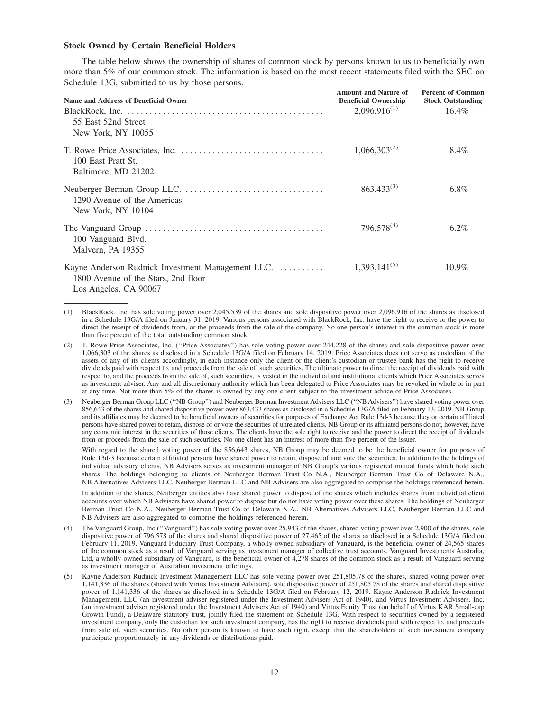#### **Stock Owned by Certain Beneficial Holders**

The table below shows the ownership of shares of common stock by persons known to us to beneficially own more than 5% of our common stock. The information is based on the most recent statements filed with the SEC on Schedule 13G, submitted to us by those persons.

| <b>Name and Address of Beneficial Owner</b>                                              | <b>Amount and Nature of</b><br><b>Beneficial Ownership</b> | <b>Percent of Common</b><br><b>Stock Outstanding</b> |
|------------------------------------------------------------------------------------------|------------------------------------------------------------|------------------------------------------------------|
| 55 East 52nd Street<br>New York, NY 10055                                                | $2,096,916^{(1)}$                                          | 16.4%                                                |
| 100 East Pratt St.<br>Baltimore, MD 21202                                                | $1,066,303^{(2)}$                                          | 8.4%                                                 |
| 1290 Avenue of the Americas<br>New York, NY 10104                                        | $863,433^{(3)}$                                            | $6.8\%$                                              |
| 100 Vanguard Blvd.<br>Malvern, PA 19355                                                  | $796,578^{(4)}$                                            | $6.2\%$                                              |
| Kayne Anderson Rudnick Investment Management LLC.<br>1800 Avenue of the Stars, 2nd floor | $1,393,141^{(5)}$                                          | $10.9\%$                                             |

Los Angeles, CA 90067

With regard to the shared voting power of the 856,643 shares, NB Group may be deemed to be the beneficial owner for purposes of Rule 13d-3 because certain affiliated persons have shared power to retain, dispose of and vote the securities. In addition to the holdings of individual advisory clients, NB Advisers serves as investment manager of NB Group's various registered mutual funds which hold such shares. The holdings belonging to clients of Neuberger Berman Trust Co N.A., Neuberger Berman Trust Co of Delaware N.A., NB Alternatives Advisers LLC, Neuberger Berman LLC and NB Advisers are also aggregated to comprise the holdings referenced herein.

In addition to the shares, Neuberger entities also have shared power to dispose of the shares which includes shares from individual client accounts over which NB Advisers have shared power to dispose but do not have voting power over these shares. The holdings of Neuberger Berman Trust Co N.A., Neuberger Berman Trust Co of Delaware N.A., NB Alternatives Advisers LLC, Neuberger Berman LLC and NB Advisers are also aggregated to comprise the holdings referenced herein.

- The Vanguard Group, Inc ("Vanguard") has sole voting power over 25,943 of the shares, shared voting power over 2,900 of the shares, sole dispositive power of 796,578 of the shares and shared dispositive power of 27,465 of the shares as disclosed in a Schedule 13G/A filed on February 11, 2019. Vanguard Fiduciary Trust Company, a wholly-owned subsidiary of Vanguard, is the beneficial owner of 24,565 shares of the common stock as a result of Vanguard serving as investment manager of collective trust accounts. Vanguard Investments Australia, Ltd, a wholly-owned subsidiary of Vanguard, is the beneficial owner of 4,278 shares of the common stock as a result of Vanguard serving as investment manager of Australian investment offerings.
- (5) Kayne Anderson Rudnick Investment Management LLC has sole voting power over 251,805.78 of the shares, shared voting power over 1,141,336 of the shares (shared with Virtus Investment Advisors), sole dispositive power of 251,805.78 of the shares and shared dispositive power of 1,141,336 of the shares as disclosed in a Schedule 13G/A filed on February 12, 2019. Kayne Anderson Rudnick Investment Management, LLC (an investment adviser registered under the Investment Advisers Act of 1940), and Virtus Investment Advisers, Inc. (an investment adviser registered under the Investment Advisers Act of 1940) and Virtus Equity Trust (on behalf of Virtus KAR Small-cap Growth Fund), a Delaware statutory trust, jointly filed the statement on Schedule 13G. With respect to securities owned by a registered investment company, only the custodian for such investment company, has the right to receive dividends paid with respect to, and proceeds from sale of, such securities. No other person is known to have such right, except that the shareholders of such investment company participate proportionately in any dividends or distributions paid.

<sup>(1)</sup> BlackRock, Inc. has sole voting power over 2,045,539 of the shares and sole dispositive power over 2,096,916 of the shares as disclosed in a Schedule 13G/A filed on January 31, 2019. Various persons associated with BlackRock, Inc. have the right to receive or the power to direct the receipt of dividends from, or the proceeds from the sale of the company. No one person's interest in the common stock is more than five percent of the total outstanding common stock.

<sup>(2)</sup> T. Rowe Price Associates, Inc. (''Price Associates'') has sole voting power over 244,228 of the shares and sole dispositive power over 1,066,303 of the shares as disclosed in a Schedule 13G/A filed on February 14, 2019. Price Associates does not serve as custodian of the assets of any of its clients accordingly, in each instance only the client or the client's custodian or trustee bank has the right to receive dividends paid with respect to, and proceeds from the sale of, such securities. The ultimate power to direct the receipt of dividends paid with respect to, and the proceeds from the sale of, such securities, is vested in the individual and institutional clients which Price Associates serves as investment adviser. Any and all discretionary authority which has been delegated to Price Associates may be revoked in whole or in part at any time. Not more than 5% of the shares is owned by any one client subject to the investment advice of Price Associates.

<sup>(3)</sup> Neuberger Berman Group LLC (''NB Group'') and Neuberger Berman Investment Advisers LLC (''NB Advisers'') have shared voting power over 856,643 of the shares and shared dispositive power over 863,433 shares as disclosed in a Schedule 13G/A filed on February 13, 2019. NB Group and its affiliates may be deemed to be beneficial owners of securities for purposes of Exchange Act Rule 13d-3 because they or certain affiliated persons have shared power to retain, dispose of or vote the securities of unrelated clients. NB Group or its affiliated persons do not, however, have any economic interest in the securities of those clients. The clients have the sole right to receive and the power to direct the receipt of dividends from or proceeds from the sale of such securities. No one client has an interest of more than five percent of the issuer.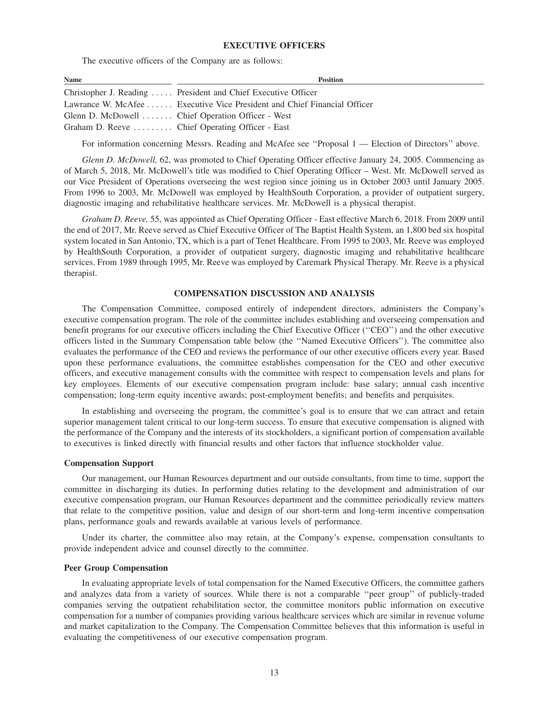#### **EXECUTIVE OFFICERS**

The executive officers of the Company are as follows:

| Name | <b>Position</b>                                                          |
|------|--------------------------------------------------------------------------|
|      | Christopher J. Reading  President and Chief Executive Officer            |
|      | Lawrance W. McAfee  Executive Vice President and Chief Financial Officer |
|      | Glenn D. McDowell  Chief Operation Officer - West                        |
|      | Graham D. Reeve  Chief Operating Officer - East                          |

For information concerning Messrs. Reading and McAfee see "Proposal 1 — Election of Directors" above.

*Glenn D. McDowell,* 62, was promoted to Chief Operating Officer effective January 24, 2005. Commencing as of March 5, 2018, Mr. McDowell's title was modified to Chief Operating Officer – West. Mr. McDowell served as our Vice President of Operations overseeing the west region since joining us in October 2003 until January 2005. From 1996 to 2003, Mr. McDowell was employed by HealthSouth Corporation, a provider of outpatient surgery, diagnostic imaging and rehabilitative healthcare services. Mr. McDowell is a physical therapist.

*Graham D. Reeve,* 55, was appointed as Chief Operating Officer - East effective March 6, 2018. From 2009 until the end of 2017, Mr. Reeve served as Chief Executive Officer of The Baptist Health System, an 1,800 bed six hospital system located in San Antonio, TX, which is a part of Tenet Healthcare. From 1995 to 2003, Mr. Reeve was employed by HealthSouth Corporation, a provider of outpatient surgery, diagnostic imaging and rehabilitative healthcare services. From 1989 through 1995, Mr. Reeve was employed by Caremark Physical Therapy. Mr. Reeve is a physical therapist.

## **COMPENSATION DISCUSSION AND ANALYSIS**

The Compensation Committee, composed entirely of independent directors, administers the Company's executive compensation program. The role of the committee includes establishing and overseeing compensation and benefit programs for our executive officers including the Chief Executive Officer (''CEO'') and the other executive officers listed in the Summary Compensation table below (the ''Named Executive Officers''). The committee also evaluates the performance of the CEO and reviews the performance of our other executive officers every year. Based upon these performance evaluations, the committee establishes compensation for the CEO and other executive officers, and executive management consults with the committee with respect to compensation levels and plans for key employees. Elements of our executive compensation program include: base salary; annual cash incentive compensation; long-term equity incentive awards; post-employment benefits; and benefits and perquisites.

In establishing and overseeing the program, the committee's goal is to ensure that we can attract and retain superior management talent critical to our long-term success. To ensure that executive compensation is aligned with the performance of the Company and the interests of its stockholders, a significant portion of compensation available to executives is linked directly with financial results and other factors that influence stockholder value.

#### **Compensation Support**

Our management, our Human Resources department and our outside consultants, from time to time, support the committee in discharging its duties. In performing duties relating to the development and administration of our executive compensation program, our Human Resources department and the committee periodically review matters that relate to the competitive position, value and design of our short-term and long-term incentive compensation plans, performance goals and rewards available at various levels of performance.

Under its charter, the committee also may retain, at the Company's expense, compensation consultants to provide independent advice and counsel directly to the committee.

#### **Peer Group Compensation**

In evaluating appropriate levels of total compensation for the Named Executive Officers, the committee gathers and analyzes data from a variety of sources. While there is not a comparable ''peer group'' of publicly-traded companies serving the outpatient rehabilitation sector, the committee monitors public information on executive compensation for a number of companies providing various healthcare services which are similar in revenue volume and market capitalization to the Company. The Compensation Committee believes that this information is useful in evaluating the competitiveness of our executive compensation program.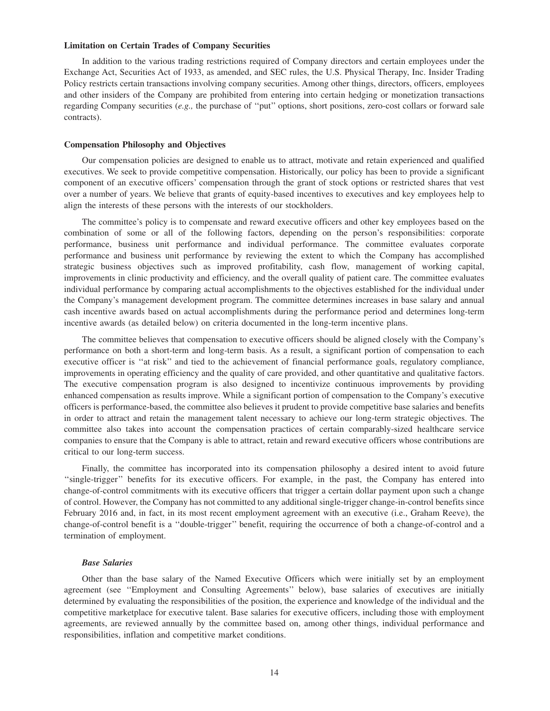#### **Limitation on Certain Trades of Company Securities**

In addition to the various trading restrictions required of Company directors and certain employees under the Exchange Act, Securities Act of 1933, as amended, and SEC rules, the U.S. Physical Therapy, Inc. Insider Trading Policy restricts certain transactions involving company securities. Among other things, directors, officers, employees and other insiders of the Company are prohibited from entering into certain hedging or monetization transactions regarding Company securities (*e.g.,* the purchase of ''put'' options, short positions, zero-cost collars or forward sale contracts).

#### **Compensation Philosophy and Objectives**

Our compensation policies are designed to enable us to attract, motivate and retain experienced and qualified executives. We seek to provide competitive compensation. Historically, our policy has been to provide a significant component of an executive officers' compensation through the grant of stock options or restricted shares that vest over a number of years. We believe that grants of equity-based incentives to executives and key employees help to align the interests of these persons with the interests of our stockholders.

The committee's policy is to compensate and reward executive officers and other key employees based on the combination of some or all of the following factors, depending on the person's responsibilities: corporate performance, business unit performance and individual performance. The committee evaluates corporate performance and business unit performance by reviewing the extent to which the Company has accomplished strategic business objectives such as improved profitability, cash flow, management of working capital, improvements in clinic productivity and efficiency, and the overall quality of patient care. The committee evaluates individual performance by comparing actual accomplishments to the objectives established for the individual under the Company's management development program. The committee determines increases in base salary and annual cash incentive awards based on actual accomplishments during the performance period and determines long-term incentive awards (as detailed below) on criteria documented in the long-term incentive plans.

The committee believes that compensation to executive officers should be aligned closely with the Company's performance on both a short-term and long-term basis. As a result, a significant portion of compensation to each executive officer is ''at risk'' and tied to the achievement of financial performance goals, regulatory compliance, improvements in operating efficiency and the quality of care provided, and other quantitative and qualitative factors. The executive compensation program is also designed to incentivize continuous improvements by providing enhanced compensation as results improve. While a significant portion of compensation to the Company's executive officers is performance-based, the committee also believes it prudent to provide competitive base salaries and benefits in order to attract and retain the management talent necessary to achieve our long-term strategic objectives. The committee also takes into account the compensation practices of certain comparably-sized healthcare service companies to ensure that the Company is able to attract, retain and reward executive officers whose contributions are critical to our long-term success.

Finally, the committee has incorporated into its compensation philosophy a desired intent to avoid future ''single-trigger'' benefits for its executive officers. For example, in the past, the Company has entered into change-of-control commitments with its executive officers that trigger a certain dollar payment upon such a change of control. However, the Company has not committed to any additional single-trigger change-in-control benefits since February 2016 and, in fact, in its most recent employment agreement with an executive (i.e., Graham Reeve), the change-of-control benefit is a ''double-trigger'' benefit, requiring the occurrence of both a change-of-control and a termination of employment.

#### *Base Salaries*

Other than the base salary of the Named Executive Officers which were initially set by an employment agreement (see ''Employment and Consulting Agreements'' below), base salaries of executives are initially determined by evaluating the responsibilities of the position, the experience and knowledge of the individual and the competitive marketplace for executive talent. Base salaries for executive officers, including those with employment agreements, are reviewed annually by the committee based on, among other things, individual performance and responsibilities, inflation and competitive market conditions.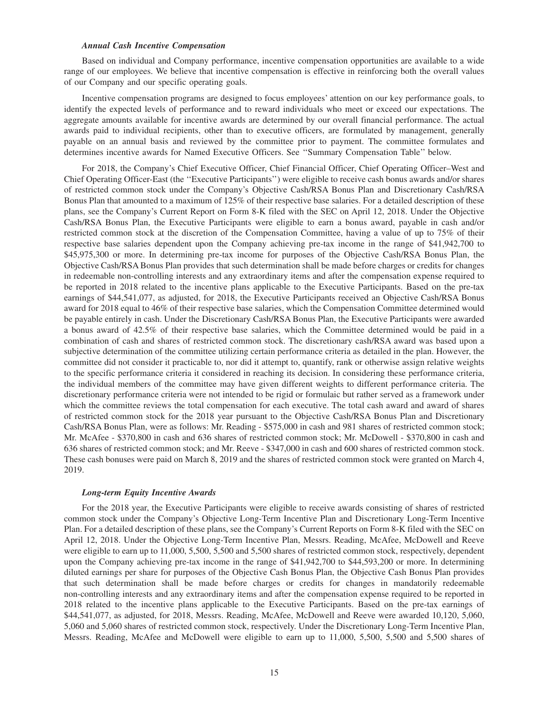#### *Annual Cash Incentive Compensation*

Based on individual and Company performance, incentive compensation opportunities are available to a wide range of our employees. We believe that incentive compensation is effective in reinforcing both the overall values of our Company and our specific operating goals.

Incentive compensation programs are designed to focus employees' attention on our key performance goals, to identify the expected levels of performance and to reward individuals who meet or exceed our expectations. The aggregate amounts available for incentive awards are determined by our overall financial performance. The actual awards paid to individual recipients, other than to executive officers, are formulated by management, generally payable on an annual basis and reviewed by the committee prior to payment. The committee formulates and determines incentive awards for Named Executive Officers. See ''Summary Compensation Table'' below.

For 2018, the Company's Chief Executive Officer, Chief Financial Officer, Chief Operating Officer–West and Chief Operating Officer-East (the ''Executive Participants'') were eligible to receive cash bonus awards and/or shares of restricted common stock under the Company's Objective Cash/RSA Bonus Plan and Discretionary Cash/RSA Bonus Plan that amounted to a maximum of 125% of their respective base salaries. For a detailed description of these plans, see the Company's Current Report on Form 8-K filed with the SEC on April 12, 2018. Under the Objective Cash/RSA Bonus Plan, the Executive Participants were eligible to earn a bonus award, payable in cash and/or restricted common stock at the discretion of the Compensation Committee, having a value of up to 75% of their respective base salaries dependent upon the Company achieving pre-tax income in the range of \$41,942,700 to \$45,975,300 or more. In determining pre-tax income for purposes of the Objective Cash/RSA Bonus Plan, the Objective Cash/RSA Bonus Plan provides that such determination shall be made before charges or credits for changes in redeemable non-controlling interests and any extraordinary items and after the compensation expense required to be reported in 2018 related to the incentive plans applicable to the Executive Participants. Based on the pre-tax earnings of \$44,541,077, as adjusted, for 2018, the Executive Participants received an Objective Cash/RSA Bonus award for 2018 equal to 46% of their respective base salaries, which the Compensation Committee determined would be payable entirely in cash. Under the Discretionary Cash/RSA Bonus Plan, the Executive Participants were awarded a bonus award of 42.5% of their respective base salaries, which the Committee determined would be paid in a combination of cash and shares of restricted common stock. The discretionary cash/RSA award was based upon a subjective determination of the committee utilizing certain performance criteria as detailed in the plan. However, the committee did not consider it practicable to, nor did it attempt to, quantify, rank or otherwise assign relative weights to the specific performance criteria it considered in reaching its decision. In considering these performance criteria, the individual members of the committee may have given different weights to different performance criteria. The discretionary performance criteria were not intended to be rigid or formulaic but rather served as a framework under which the committee reviews the total compensation for each executive. The total cash award and award of shares of restricted common stock for the 2018 year pursuant to the Objective Cash/RSA Bonus Plan and Discretionary Cash/RSA Bonus Plan, were as follows: Mr. Reading - \$575,000 in cash and 981 shares of restricted common stock; Mr. McAfee - \$370,800 in cash and 636 shares of restricted common stock; Mr. McDowell - \$370,800 in cash and 636 shares of restricted common stock; and Mr. Reeve - \$347,000 in cash and 600 shares of restricted common stock. These cash bonuses were paid on March 8, 2019 and the shares of restricted common stock were granted on March 4, 2019.

#### *Long-term Equity Incentive Awards*

For the 2018 year, the Executive Participants were eligible to receive awards consisting of shares of restricted common stock under the Company's Objective Long-Term Incentive Plan and Discretionary Long-Term Incentive Plan. For a detailed description of these plans, see the Company's Current Reports on Form 8-K filed with the SEC on April 12, 2018. Under the Objective Long-Term Incentive Plan, Messrs. Reading, McAfee, McDowell and Reeve were eligible to earn up to 11,000, 5,500, 5,500 and 5,500 shares of restricted common stock, respectively, dependent upon the Company achieving pre-tax income in the range of \$41,942,700 to \$44,593,200 or more. In determining diluted earnings per share for purposes of the Objective Cash Bonus Plan, the Objective Cash Bonus Plan provides that such determination shall be made before charges or credits for changes in mandatorily redeemable non-controlling interests and any extraordinary items and after the compensation expense required to be reported in 2018 related to the incentive plans applicable to the Executive Participants. Based on the pre-tax earnings of \$44,541,077, as adjusted, for 2018, Messrs. Reading, McAfee, McDowell and Reeve were awarded 10,120, 5,060, 5,060 and 5,060 shares of restricted common stock, respectively. Under the Discretionary Long-Term Incentive Plan, Messrs. Reading, McAfee and McDowell were eligible to earn up to 11,000, 5,500, 5,500 and 5,500 shares of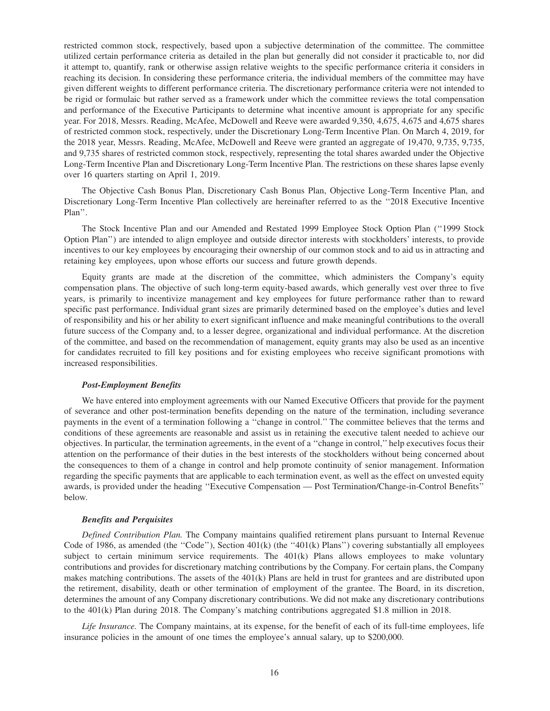restricted common stock, respectively, based upon a subjective determination of the committee. The committee utilized certain performance criteria as detailed in the plan but generally did not consider it practicable to, nor did it attempt to, quantify, rank or otherwise assign relative weights to the specific performance criteria it considers in reaching its decision. In considering these performance criteria, the individual members of the committee may have given different weights to different performance criteria. The discretionary performance criteria were not intended to be rigid or formulaic but rather served as a framework under which the committee reviews the total compensation and performance of the Executive Participants to determine what incentive amount is appropriate for any specific year. For 2018, Messrs. Reading, McAfee, McDowell and Reeve were awarded 9,350, 4,675, 4,675 and 4,675 shares of restricted common stock, respectively, under the Discretionary Long-Term Incentive Plan. On March 4, 2019, for the 2018 year, Messrs. Reading, McAfee, McDowell and Reeve were granted an aggregate of 19,470, 9,735, 9,735, and 9,735 shares of restricted common stock, respectively, representing the total shares awarded under the Objective Long-Term Incentive Plan and Discretionary Long-Term Incentive Plan. The restrictions on these shares lapse evenly over 16 quarters starting on April 1, 2019.

The Objective Cash Bonus Plan, Discretionary Cash Bonus Plan, Objective Long-Term Incentive Plan, and Discretionary Long-Term Incentive Plan collectively are hereinafter referred to as the ''2018 Executive Incentive Plan''.

The Stock Incentive Plan and our Amended and Restated 1999 Employee Stock Option Plan (''1999 Stock Option Plan'') are intended to align employee and outside director interests with stockholders' interests, to provide incentives to our key employees by encouraging their ownership of our common stock and to aid us in attracting and retaining key employees, upon whose efforts our success and future growth depends.

Equity grants are made at the discretion of the committee, which administers the Company's equity compensation plans. The objective of such long-term equity-based awards, which generally vest over three to five years, is primarily to incentivize management and key employees for future performance rather than to reward specific past performance. Individual grant sizes are primarily determined based on the employee's duties and level of responsibility and his or her ability to exert significant influence and make meaningful contributions to the overall future success of the Company and, to a lesser degree, organizational and individual performance. At the discretion of the committee, and based on the recommendation of management, equity grants may also be used as an incentive for candidates recruited to fill key positions and for existing employees who receive significant promotions with increased responsibilities.

## *Post-Employment Benefits*

We have entered into employment agreements with our Named Executive Officers that provide for the payment of severance and other post-termination benefits depending on the nature of the termination, including severance payments in the event of a termination following a ''change in control.'' The committee believes that the terms and conditions of these agreements are reasonable and assist us in retaining the executive talent needed to achieve our objectives. In particular, the termination agreements, in the event of a ''change in control,'' help executives focus their attention on the performance of their duties in the best interests of the stockholders without being concerned about the consequences to them of a change in control and help promote continuity of senior management. Information regarding the specific payments that are applicable to each termination event, as well as the effect on unvested equity awards, is provided under the heading ''Executive Compensation — Post Termination/Change-in-Control Benefits'' below.

#### *Benefits and Perquisites*

*Defined Contribution Plan.* The Company maintains qualified retirement plans pursuant to Internal Revenue Code of 1986, as amended (the "Code"), Section  $401(k)$  (the " $401(k)$  Plans") covering substantially all employees subject to certain minimum service requirements. The  $401(k)$  Plans allows employees to make voluntary contributions and provides for discretionary matching contributions by the Company. For certain plans, the Company makes matching contributions. The assets of the 401(k) Plans are held in trust for grantees and are distributed upon the retirement, disability, death or other termination of employment of the grantee. The Board, in its discretion, determines the amount of any Company discretionary contributions. We did not make any discretionary contributions to the 401(k) Plan during 2018. The Company's matching contributions aggregated \$1.8 million in 2018.

*Life Insurance.* The Company maintains, at its expense, for the benefit of each of its full-time employees, life insurance policies in the amount of one times the employee's annual salary, up to \$200,000.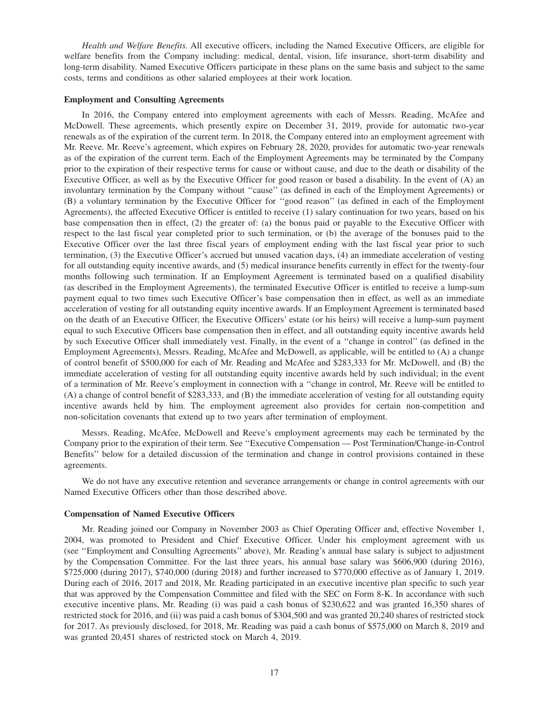*Health and Welfare Benefits.* All executive officers, including the Named Executive Officers, are eligible for welfare benefits from the Company including: medical, dental, vision, life insurance, short-term disability and long-term disability. Named Executive Officers participate in these plans on the same basis and subject to the same costs, terms and conditions as other salaried employees at their work location.

#### **Employment and Consulting Agreements**

In 2016, the Company entered into employment agreements with each of Messrs. Reading, McAfee and McDowell. These agreements, which presently expire on December 31, 2019, provide for automatic two-year renewals as of the expiration of the current term. In 2018, the Company entered into an employment agreement with Mr. Reeve. Mr. Reeve's agreement, which expires on February 28, 2020, provides for automatic two-year renewals as of the expiration of the current term. Each of the Employment Agreements may be terminated by the Company prior to the expiration of their respective terms for cause or without cause, and due to the death or disability of the Executive Officer, as well as by the Executive Officer for good reason or based a disability. In the event of (A) an involuntary termination by the Company without ''cause'' (as defined in each of the Employment Agreements) or (B) a voluntary termination by the Executive Officer for ''good reason'' (as defined in each of the Employment Agreements), the affected Executive Officer is entitled to receive (1) salary continuation for two years, based on his base compensation then in effect, (2) the greater of: (a) the bonus paid or payable to the Executive Officer with respect to the last fiscal year completed prior to such termination, or (b) the average of the bonuses paid to the Executive Officer over the last three fiscal years of employment ending with the last fiscal year prior to such termination, (3) the Executive Officer's accrued but unused vacation days, (4) an immediate acceleration of vesting for all outstanding equity incentive awards, and (5) medical insurance benefits currently in effect for the twenty-four months following such termination. If an Employment Agreement is terminated based on a qualified disability (as described in the Employment Agreements), the terminated Executive Officer is entitled to receive a lump-sum payment equal to two times such Executive Officer's base compensation then in effect, as well as an immediate acceleration of vesting for all outstanding equity incentive awards. If an Employment Agreement is terminated based on the death of an Executive Officer, the Executive Officers' estate (or his heirs) will receive a lump-sum payment equal to such Executive Officers base compensation then in effect, and all outstanding equity incentive awards held by such Executive Officer shall immediately vest. Finally, in the event of a ''change in control'' (as defined in the Employment Agreements), Messrs. Reading, McAfee and McDowell, as applicable, will be entitled to (A) a change of control benefit of \$500,000 for each of Mr. Reading and McAfee and \$283,333 for Mr. McDowell, and (B) the immediate acceleration of vesting for all outstanding equity incentive awards held by such individual; in the event of a termination of Mr. Reeve's employment in connection with a ''change in control, Mr. Reeve will be entitled to (A) a change of control benefit of \$283,333, and (B) the immediate acceleration of vesting for all outstanding equity incentive awards held by him. The employment agreement also provides for certain non-competition and non-solicitation covenants that extend up to two years after termination of employment.

Messrs. Reading, McAfee, McDowell and Reeve's employment agreements may each be terminated by the Company prior to the expiration of their term. See ''Executive Compensation — Post Termination/Change-in-Control Benefits'' below for a detailed discussion of the termination and change in control provisions contained in these agreements.

We do not have any executive retention and severance arrangements or change in control agreements with our Named Executive Officers other than those described above.

#### **Compensation of Named Executive Officers**

Mr. Reading joined our Company in November 2003 as Chief Operating Officer and, effective November 1, 2004, was promoted to President and Chief Executive Officer. Under his employment agreement with us (see ''Employment and Consulting Agreements'' above), Mr. Reading's annual base salary is subject to adjustment by the Compensation Committee. For the last three years, his annual base salary was \$606,900 (during 2016), \$725,000 (during 2017), \$740,000 (during 2018) and further increased to \$770,000 effective as of January 1, 2019. During each of 2016, 2017 and 2018, Mr. Reading participated in an executive incentive plan specific to such year that was approved by the Compensation Committee and filed with the SEC on Form 8-K. In accordance with such executive incentive plans, Mr. Reading (i) was paid a cash bonus of \$230,622 and was granted 16,350 shares of restricted stock for 2016, and (ii) was paid a cash bonus of \$304,500 and was granted 20,240 shares of restricted stock for 2017. As previously disclosed, for 2018, Mr. Reading was paid a cash bonus of \$575,000 on March 8, 2019 and was granted 20,451 shares of restricted stock on March 4, 2019.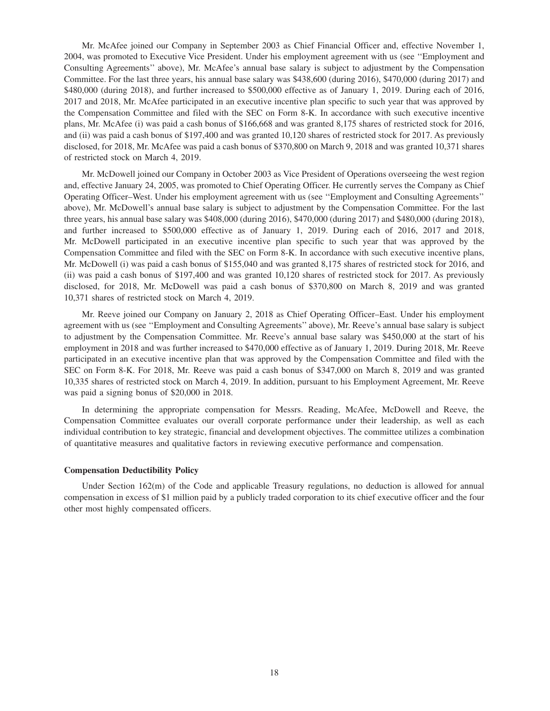Mr. McAfee joined our Company in September 2003 as Chief Financial Officer and, effective November 1, 2004, was promoted to Executive Vice President. Under his employment agreement with us (see ''Employment and Consulting Agreements'' above), Mr. McAfee's annual base salary is subject to adjustment by the Compensation Committee. For the last three years, his annual base salary was \$438,600 (during 2016), \$470,000 (during 2017) and \$480,000 (during 2018), and further increased to \$500,000 effective as of January 1, 2019. During each of 2016, 2017 and 2018, Mr. McAfee participated in an executive incentive plan specific to such year that was approved by the Compensation Committee and filed with the SEC on Form 8-K. In accordance with such executive incentive plans, Mr. McAfee (i) was paid a cash bonus of \$166,668 and was granted 8,175 shares of restricted stock for 2016, and (ii) was paid a cash bonus of \$197,400 and was granted 10,120 shares of restricted stock for 2017. As previously disclosed, for 2018, Mr. McAfee was paid a cash bonus of \$370,800 on March 9, 2018 and was granted 10,371 shares of restricted stock on March 4, 2019.

Mr. McDowell joined our Company in October 2003 as Vice President of Operations overseeing the west region and, effective January 24, 2005, was promoted to Chief Operating Officer. He currently serves the Company as Chief Operating Officer–West. Under his employment agreement with us (see ''Employment and Consulting Agreements'' above), Mr. McDowell's annual base salary is subject to adjustment by the Compensation Committee. For the last three years, his annual base salary was \$408,000 (during 2016), \$470,000 (during 2017) and \$480,000 (during 2018), and further increased to \$500,000 effective as of January 1, 2019. During each of 2016, 2017 and 2018, Mr. McDowell participated in an executive incentive plan specific to such year that was approved by the Compensation Committee and filed with the SEC on Form 8-K. In accordance with such executive incentive plans, Mr. McDowell (i) was paid a cash bonus of \$155,040 and was granted 8,175 shares of restricted stock for 2016, and (ii) was paid a cash bonus of \$197,400 and was granted 10,120 shares of restricted stock for 2017. As previously disclosed, for 2018, Mr. McDowell was paid a cash bonus of \$370,800 on March 8, 2019 and was granted 10,371 shares of restricted stock on March 4, 2019.

Mr. Reeve joined our Company on January 2, 2018 as Chief Operating Officer–East. Under his employment agreement with us (see ''Employment and Consulting Agreements'' above), Mr. Reeve's annual base salary is subject to adjustment by the Compensation Committee. Mr. Reeve's annual base salary was \$450,000 at the start of his employment in 2018 and was further increased to \$470,000 effective as of January 1, 2019. During 2018, Mr. Reeve participated in an executive incentive plan that was approved by the Compensation Committee and filed with the SEC on Form 8-K. For 2018, Mr. Reeve was paid a cash bonus of \$347,000 on March 8, 2019 and was granted 10,335 shares of restricted stock on March 4, 2019. In addition, pursuant to his Employment Agreement, Mr. Reeve was paid a signing bonus of \$20,000 in 2018.

In determining the appropriate compensation for Messrs. Reading, McAfee, McDowell and Reeve, the Compensation Committee evaluates our overall corporate performance under their leadership, as well as each individual contribution to key strategic, financial and development objectives. The committee utilizes a combination of quantitative measures and qualitative factors in reviewing executive performance and compensation.

#### **Compensation Deductibility Policy**

Under Section 162(m) of the Code and applicable Treasury regulations, no deduction is allowed for annual compensation in excess of \$1 million paid by a publicly traded corporation to its chief executive officer and the four other most highly compensated officers.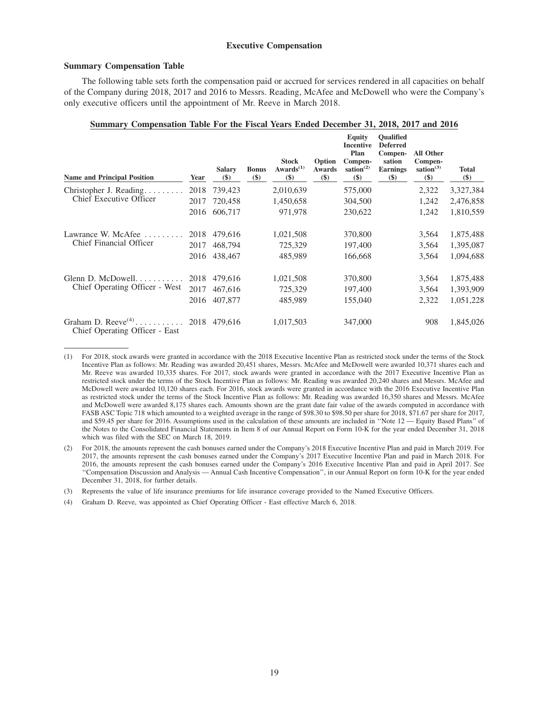#### **Executive Compensation**

#### **Summary Compensation Table**

The following table sets forth the compensation paid or accrued for services rendered in all capacities on behalf of the Company during 2018, 2017 and 2016 to Messrs. Reading, McAfee and McDowell who were the Company's only executive officers until the appointment of Mr. Reeve in March 2018.

| Summary Compensation Table For the Fiscal Years Ended December 31, 2018, 2017 and 2016 |      |                        |                        |                                     |                                |                                                                                   |                                                                                       |                                                |                        |
|----------------------------------------------------------------------------------------|------|------------------------|------------------------|-------------------------------------|--------------------------------|-----------------------------------------------------------------------------------|---------------------------------------------------------------------------------------|------------------------------------------------|------------------------|
| <b>Name and Principal Position</b>                                                     | Year | <b>Salary</b><br>$($)$ | <b>Bonus</b><br>$(\$)$ | <b>Stock</b><br>Awards $(1)$<br>\$) | Option<br><b>Awards</b><br>\$) | <b>Equity</b><br><b>Incentive</b><br>Plan<br>Compen-<br>sation $^{(2)}$<br>$(\$)$ | <b>Oualified</b><br><b>Deferred</b><br>Compen-<br>sation<br><b>Earnings</b><br>$(\$)$ | All Other<br>Compen-<br>sation $(3)$<br>$(\$)$ | <b>Total</b><br>$(\$)$ |
| Christopher J. Reading                                                                 | 2018 | 739,423                |                        | 2,010,639                           |                                | 575,000                                                                           |                                                                                       | 2,322                                          | 3,327,384              |
| Chief Executive Officer                                                                | 2017 | 720,458                |                        | 1,450,658                           |                                | 304,500                                                                           |                                                                                       | 1,242                                          | 2,476,858              |
|                                                                                        | 2016 | 606,717                |                        | 971,978                             |                                | 230,622                                                                           |                                                                                       | 1,242                                          | 1,810,559              |
| Lawrance W. McAfee                                                                     | 2018 | 479,616                |                        | 1,021,508                           |                                | 370,800                                                                           |                                                                                       | 3,564                                          | 1,875,488              |
| Chief Financial Officer                                                                | 2017 | 468,794                |                        | 725,329                             |                                | 197,400                                                                           |                                                                                       | 3,564                                          | 1,395,087              |
|                                                                                        |      | 2016 438,467           |                        | 485,989                             |                                | 166,668                                                                           |                                                                                       | 3,564                                          | 1,094,688              |
|                                                                                        | 2018 | 479,616                |                        | 1,021,508                           |                                | 370,800                                                                           |                                                                                       | 3,564                                          | 1,875,488              |
| Chief Operating Officer - West                                                         | 2017 | 467,616                |                        | 725,329                             |                                | 197,400                                                                           |                                                                                       | 3,564                                          | 1,393,909              |
|                                                                                        | 2016 | 407,877                |                        | 485,989                             |                                | 155,040                                                                           |                                                                                       | 2,322                                          | 1,051,228              |
| Graham D. Reeve <sup>(4)</sup> 2018 479,616<br>Chief Operating Officer - East          |      |                        |                        | 1,017,503                           |                                | 347,000                                                                           |                                                                                       | 908                                            | 1,845,026              |

<sup>(1)</sup> For 2018, stock awards were granted in accordance with the 2018 Executive Incentive Plan as restricted stock under the terms of the Stock Incentive Plan as follows: Mr. Reading was awarded 20,451 shares, Messrs. McAfee and McDowell were awarded 10,371 shares each and Mr. Reeve was awarded 10,335 shares. For 2017, stock awards were granted in accordance with the 2017 Executive Incentive Plan as restricted stock under the terms of the Stock Incentive Plan as follows: Mr. Reading was awarded 20,240 shares and Messrs. McAfee and McDowell were awarded 10,120 shares each. For 2016, stock awards were granted in accordance with the 2016 Executive Incentive Plan as restricted stock under the terms of the Stock Incentive Plan as follows: Mr. Reading was awarded 16,350 shares and Messrs. McAfee and McDowell were awarded 8,175 shares each. Amounts shown are the grant date fair value of the awards computed in accordance with FASB ASC Topic 718 which amounted to a weighted average in the range of \$98.30 to \$98.50 per share for 2018, \$71.67 per share for 2017, and \$59.45 per share for 2016. Assumptions used in the calculation of these amounts are included in ''Note 12 — Equity Based Plans'' of the Notes to the Consolidated Financial Statements in Item 8 of our Annual Report on Form 10-K for the year ended December 31, 2018 which was filed with the SEC on March 18, 2019.

<sup>(2)</sup> For 2018, the amounts represent the cash bonuses earned under the Company's 2018 Executive Incentive Plan and paid in March 2019. For 2017, the amounts represent the cash bonuses earned under the Company's 2017 Executive Incentive Plan and paid in March 2018. For 2016, the amounts represent the cash bonuses earned under the Company's 2016 Executive Incentive Plan and paid in April 2017. See ''Compensation Discussion and Analysis — Annual Cash Incentive Compensation'', in our Annual Report on form 10-K for the year ended December 31, 2018, for further details.

<sup>(3)</sup> Represents the value of life insurance premiums for life insurance coverage provided to the Named Executive Officers.

<sup>(4)</sup> Graham D. Reeve, was appointed as Chief Operating Officer - East effective March 6, 2018.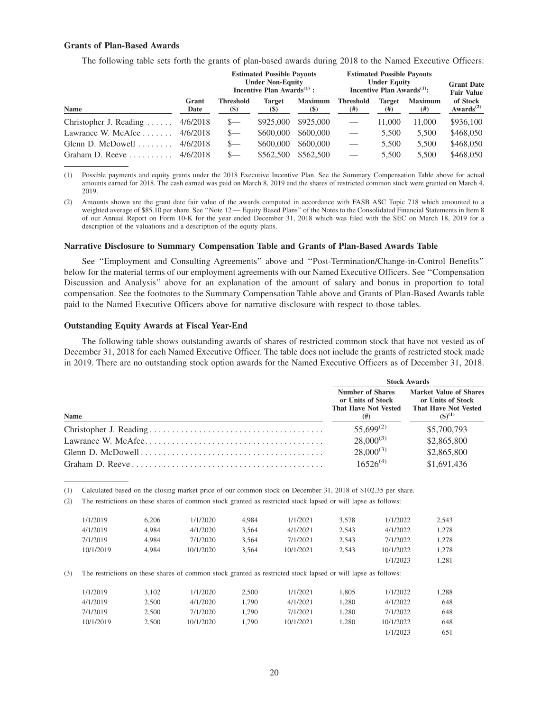## **Grants of Plan-Based Awards**

The following table sets forth the grants of plan-based awards during 2018 to the Named Executive Officers:

|                                   |               |                                 | <b>Estimated Possible Payouts</b><br><b>Under Non-Equity</b><br>Incentive Plan Awards $^{(1)}$ : |                          |                          | <b>Estimated Possible Payouts</b><br><b>Under Equity</b><br>Incentive Plan Awards $(1)$ : |                        | <b>Grant Date</b><br><b>Fair Value</b>         |
|-----------------------------------|---------------|---------------------------------|--------------------------------------------------------------------------------------------------|--------------------------|--------------------------|-------------------------------------------------------------------------------------------|------------------------|------------------------------------------------|
| <b>Name</b>                       | Grant<br>Date | <b>Threshold</b><br><b>(\$)</b> | <b>Target</b><br>(S)                                                                             | <b>Maximum</b><br>$(\$)$ | <b>Threshold</b><br>(# ) | Target<br>(#)                                                                             | <b>Maximum</b><br>(# ) | of Stock<br>Awards <sup><math>(2)</math></sup> |
| Christopher J. Reading $\ldots$ . | 4/6/2018      | $\mathbf{S}$                    | \$925,000                                                                                        | \$925,000                |                          | 11.000                                                                                    | 11,000                 | \$936,100                                      |
| Lawrance W. McAfee $\ldots$       | 4/6/2018      | $S-$                            | \$600,000                                                                                        | \$600,000                |                          | 5.500                                                                                     | 5,500                  | \$468,050                                      |
| Glenn D. McDowell $\ldots \ldots$ | 4/6/2018      | $S-$                            | \$600,000                                                                                        | \$600,000                | $\qquad \qquad$          | 5.500                                                                                     | 5,500                  | \$468,050                                      |
|                                   | 4/6/2018      | $S-$                            | \$562,500                                                                                        | \$562,500                | $\equiv$                 | 5.500                                                                                     | 5,500                  | \$468,050                                      |

(1) Possible payments and equity grants under the 2018 Executive Incentive Plan. See the Summary Compensation Table above for actual amounts earned for 2018. The cash earned was paid on March 8, 2019 and the shares of restricted common stock were granted on March 4, 2019.

(2) Amounts shown are the grant date fair value of the awards computed in accordance with FASB ASC Topic 718 which amounted to a weighted average of \$85.10 per share. See "Note 12 — Equity Based Plans" of the Notes to the Consolidated Financial Statements in Item 8 of our Annual Report on Form 10-K for the year ended December 31, 2018 which was filed with the SEC on March 18, 2019 for a description of the valuations and a description of the equity plans.

#### **Narrative Disclosure to Summary Compensation Table and Grants of Plan-Based Awards Table**

See ''Employment and Consulting Agreements'' above and ''Post-Termination/Change-in-Control Benefits'' below for the material terms of our employment agreements with our Named Executive Officers. See ''Compensation Discussion and Analysis'' above for an explanation of the amount of salary and bonus in proportion to total compensation. See the footnotes to the Summary Compensation Table above and Grants of Plan-Based Awards table paid to the Named Executive Officers above for narrative disclosure with respect to those tables.

#### **Outstanding Equity Awards at Fiscal Year-End**

The following table shows outstanding awards of shares of restricted common stock that have not vested as of December 31, 2018 for each Named Executive Officer. The table does not include the grants of restricted stock made in 2019. There are no outstanding stock option awards for the Named Executive Officers as of December 31, 2018.

|             |                                                                                      | <b>Stock Awards</b>                                                                              |
|-------------|--------------------------------------------------------------------------------------|--------------------------------------------------------------------------------------------------|
| <b>Name</b> | <b>Number of Shares</b><br>or Units of Stock<br><b>That Have Not Vested</b><br>( # ) | <b>Market Value of Shares</b><br>or Units of Stock<br><b>That Have Not Vested</b><br>$(5)^{(1)}$ |
|             | $55,699^{(2)}$                                                                       | \$5,700,793                                                                                      |
|             | $28,000^{(3)}$                                                                       | \$2,865,800                                                                                      |
|             | $28,000^{(3)}$                                                                       | \$2,865,800                                                                                      |
|             | $16526^{(4)}$                                                                        | \$1,691,436                                                                                      |

(1) Calculated based on the closing market price of our common stock on December 31, 2018 of \$102.35 per share.

(2) The restrictions on these shares of common stock granted as restricted stock lapsed or will lapse as follows:

|     | 1/1/2019  | 6.206 | 1/1/2020                                                                                                      | 4.984 | 1/1/2021  | 3,578 | 1/1/2022  | 2,543 |
|-----|-----------|-------|---------------------------------------------------------------------------------------------------------------|-------|-----------|-------|-----------|-------|
|     | 4/1/2019  | 4.984 | 4/1/2020                                                                                                      | 3.564 | 4/1/2021  | 2.543 | 4/1/2022  | 1.278 |
|     | 7/1/2019  | 4.984 | 7/1/2020                                                                                                      | 3,564 | 7/1/2021  | 2,543 | 7/1/2022  | 1,278 |
|     | 10/1/2019 | 4.984 | 10/1/2020                                                                                                     | 3.564 | 10/1/2021 | 2,543 | 10/1/2022 | 1.278 |
|     |           |       |                                                                                                               |       |           |       | 1/1/2023  | 1,281 |
| (3) |           |       | The restrictions on these shares of common stock granted as restricted stock lapsed or will lapse as follows: |       |           |       |           |       |
|     | 1/1/2019  | 3.102 | 1/1/2020                                                                                                      | 2.500 | 1/1/2021  | 1.805 | 1/1/2022  | 1,288 |
|     | 4/1/2019  | 2.500 | 4/1/2020                                                                                                      | 1.790 | 4/1/2021  | 1,280 | 4/1/2022  | 648   |
|     | 7/1/2019  | 2.500 | 7/1/2020                                                                                                      | 1.790 | 7/1/2021  | 1.280 | 7/1/2022  | 648   |
|     | 10/1/2019 | 2.500 | 10/1/2020                                                                                                     | 1.790 | 10/1/2021 | 1.280 | 10/1/2022 | 648   |

1/1/2023 651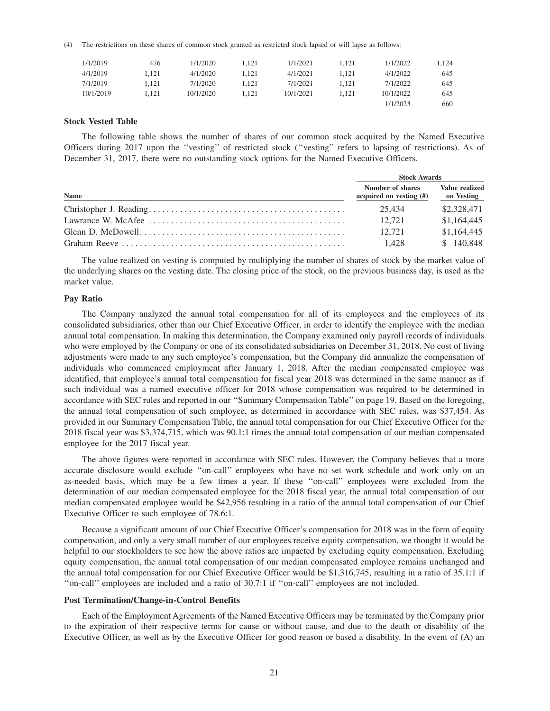(4) The restrictions on these shares of common stock granted as restricted stock lapsed or will lapse as follows:

| 1/1/2019  | 476   | 1/1/2020  | 1.121 | 1/1/2021  | 1.121 | 1/1/2022  | 1.124 |
|-----------|-------|-----------|-------|-----------|-------|-----------|-------|
| 4/1/2019  | 1.121 | 4/1/2020  | 1.121 | 4/1/2021  | 1.121 | 4/1/2022  | 645   |
| 7/1/2019  | 1.121 | 7/1/2020  | 1.121 | 7/1/2021  | 1.121 | 7/1/2022  | 645   |
| 10/1/2019 | 1.121 | 10/1/2020 | 1.121 | 10/1/2021 | 1.121 | 10/1/2022 | 645   |
|           |       |           |       |           |       | 1/1/2023  | 660   |

#### **Stock Vested Table**

The following table shows the number of shares of our common stock acquired by the Named Executive Officers during 2017 upon the ''vesting'' of restricted stock (''vesting'' refers to lapsing of restrictions). As of December 31, 2017, there were no outstanding stock options for the Named Executive Officers.

|             | <b>Stock Awards</b>                            |                              |  |
|-------------|------------------------------------------------|------------------------------|--|
| <b>Name</b> | Number of shares<br>acquired on vesting $(\#)$ | Value realized<br>on Vesting |  |
|             | 25.434                                         | \$2,328,471                  |  |
|             | 12.721                                         | \$1,164,445                  |  |
|             | 12.721                                         | \$1,164,445                  |  |
|             | 1.428                                          | \$140.848                    |  |

The value realized on vesting is computed by multiplying the number of shares of stock by the market value of the underlying shares on the vesting date. The closing price of the stock, on the previous business day, is used as the market value.

#### **Pay Ratio**

The Company analyzed the annual total compensation for all of its employees and the employees of its consolidated subsidiaries, other than our Chief Executive Officer, in order to identify the employee with the median annual total compensation. In making this determination, the Company examined only payroll records of individuals who were employed by the Company or one of its consolidated subsidiaries on December 31, 2018. No cost of living adjustments were made to any such employee's compensation, but the Company did annualize the compensation of individuals who commenced employment after January 1, 2018. After the median compensated employee was identified, that employee's annual total compensation for fiscal year 2018 was determined in the same manner as if such individual was a named executive officer for 2018 whose compensation was required to be determined in accordance with SEC rules and reported in our ''Summary Compensation Table'' on page 19. Based on the foregoing, the annual total compensation of such employee, as determined in accordance with SEC rules, was \$37,454. As provided in our Summary Compensation Table, the annual total compensation for our Chief Executive Officer for the 2018 fiscal year was \$3,374,715, which was 90.1:1 times the annual total compensation of our median compensated employee for the 2017 fiscal year.

The above figures were reported in accordance with SEC rules. However, the Company believes that a more accurate disclosure would exclude ''on-call'' employees who have no set work schedule and work only on an as-needed basis, which may be a few times a year. If these ''on-call'' employees were excluded from the determination of our median compensated employee for the 2018 fiscal year, the annual total compensation of our median compensated employee would be \$42,956 resulting in a ratio of the annual total compensation of our Chief Executive Officer to such employee of 78.6:1.

Because a significant amount of our Chief Executive Officer's compensation for 2018 was in the form of equity compensation, and only a very small number of our employees receive equity compensation, we thought it would be helpful to our stockholders to see how the above ratios are impacted by excluding equity compensation. Excluding equity compensation, the annual total compensation of our median compensated employee remains unchanged and the annual total compensation for our Chief Executive Officer would be \$1,316,745, resulting in a ratio of 35.1:1 if ''on-call'' employees are included and a ratio of 30.7:1 if ''on-call'' employees are not included.

#### **Post Termination/Change-in-Control Benefits**

Each of the Employment Agreements of the Named Executive Officers may be terminated by the Company prior to the expiration of their respective terms for cause or without cause, and due to the death or disability of the Executive Officer, as well as by the Executive Officer for good reason or based a disability. In the event of (A) an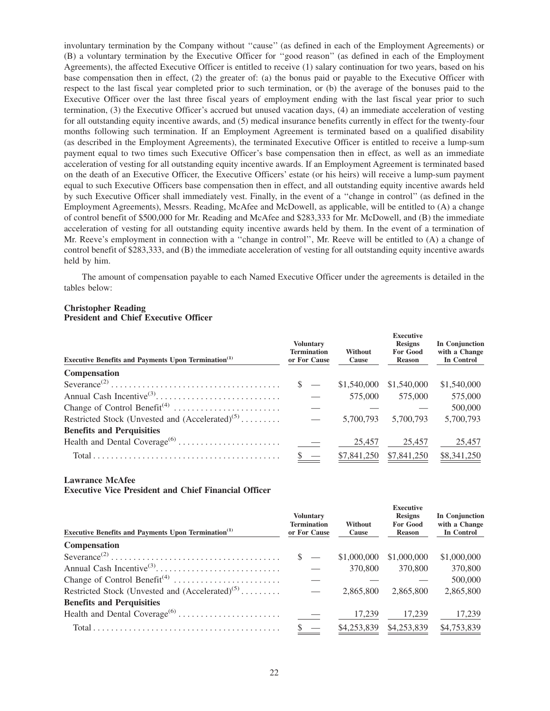involuntary termination by the Company without ''cause'' (as defined in each of the Employment Agreements) or (B) a voluntary termination by the Executive Officer for ''good reason'' (as defined in each of the Employment Agreements), the affected Executive Officer is entitled to receive (1) salary continuation for two years, based on his base compensation then in effect, (2) the greater of: (a) the bonus paid or payable to the Executive Officer with respect to the last fiscal year completed prior to such termination, or (b) the average of the bonuses paid to the Executive Officer over the last three fiscal years of employment ending with the last fiscal year prior to such termination, (3) the Executive Officer's accrued but unused vacation days, (4) an immediate acceleration of vesting for all outstanding equity incentive awards, and (5) medical insurance benefits currently in effect for the twenty-four months following such termination. If an Employment Agreement is terminated based on a qualified disability (as described in the Employment Agreements), the terminated Executive Officer is entitled to receive a lump-sum payment equal to two times such Executive Officer's base compensation then in effect, as well as an immediate acceleration of vesting for all outstanding equity incentive awards. If an Employment Agreement is terminated based on the death of an Executive Officer, the Executive Officers' estate (or his heirs) will receive a lump-sum payment equal to such Executive Officers base compensation then in effect, and all outstanding equity incentive awards held by such Executive Officer shall immediately vest. Finally, in the event of a ''change in control'' (as defined in the Employment Agreements), Messrs. Reading, McAfee and McDowell, as applicable, will be entitled to (A) a change of control benefit of \$500,000 for Mr. Reading and McAfee and \$283,333 for Mr. McDowell, and (B) the immediate acceleration of vesting for all outstanding equity incentive awards held by them. In the event of a termination of Mr. Reeve's employment in connection with a ''change in control'', Mr. Reeve will be entitled to (A) a change of control benefit of \$283,333, and (B) the immediate acceleration of vesting for all outstanding equity incentive awards held by him.

The amount of compensation payable to each Named Executive Officer under the agreements is detailed in the tables below:

# **Christopher Reading**

|  | <b>President and Chief Executive Officer</b> |  |
|--|----------------------------------------------|--|
|  |                                              |  |

| <b>Executive Benefits and Payments Upon Termination</b> <sup>(1)</sup>                    | <b>Voluntary</b><br><b>Termination</b><br>or For Cause | Without<br>Cause | <b>Executive</b><br><b>Resigns</b><br><b>For Good</b><br><b>Reason</b> | In Conjunction<br>with a Change<br><b>In Control</b> |
|-------------------------------------------------------------------------------------------|--------------------------------------------------------|------------------|------------------------------------------------------------------------|------------------------------------------------------|
| <b>Compensation</b>                                                                       |                                                        |                  |                                                                        |                                                      |
| $Severance^{(2)} \dots \dots \dots \dots \dots \dots \dots \dots \dots \dots \dots \dots$ | $\mathcal{S}$ $\equiv$                                 | \$1,540,000      | \$1,540,000                                                            | \$1,540,000                                          |
|                                                                                           |                                                        | 575,000          | 575,000                                                                | 575,000                                              |
|                                                                                           |                                                        |                  |                                                                        | 500,000                                              |
| Restricted Stock (Unvested and $(Accelerated)^{(5)}$                                      |                                                        | 5,700,793        | 5.700.793                                                              | 5,700,793                                            |
| <b>Benefits and Perquisities</b>                                                          |                                                        |                  |                                                                        |                                                      |
|                                                                                           |                                                        | 25,457           | 25,457                                                                 | 25,457                                               |
|                                                                                           | $\frac{1}{2}$                                          | \$7,841,250      | \$7,841,250                                                            | \$8,341,250                                          |

#### **Lawrance McAfee**

**Executive Vice President and Chief Financial Officer**

| <b>Executive Benefits and Payments Upon Termination</b> <sup>(1)</sup> | <b>Voluntary</b><br><b>Termination</b><br>or For Cause | Without<br>Cause | <b>Executive</b><br><b>Resigns</b><br><b>For Good</b><br><b>Reason</b> | In Conjunction<br>with a Change<br>In Control |
|------------------------------------------------------------------------|--------------------------------------------------------|------------------|------------------------------------------------------------------------|-----------------------------------------------|
| Compensation                                                           |                                                        |                  |                                                                        |                                               |
|                                                                        | $S =$                                                  | \$1,000,000      | \$1,000,000                                                            | \$1,000,000                                   |
|                                                                        |                                                        | 370,800          | 370,800                                                                | 370,800                                       |
|                                                                        |                                                        |                  |                                                                        | 500,000                                       |
| Restricted Stock (Unvested and $(Accelerated)^{(5)}$                   |                                                        | 2,865,800        | 2,865,800                                                              | 2,865,800                                     |
| <b>Benefits and Perquisities</b>                                       |                                                        |                  |                                                                        |                                               |
|                                                                        |                                                        | 17,239           | 17,239                                                                 | 17,239                                        |
|                                                                        |                                                        | \$4,253,839      | \$4,253,839                                                            | \$4,753,839                                   |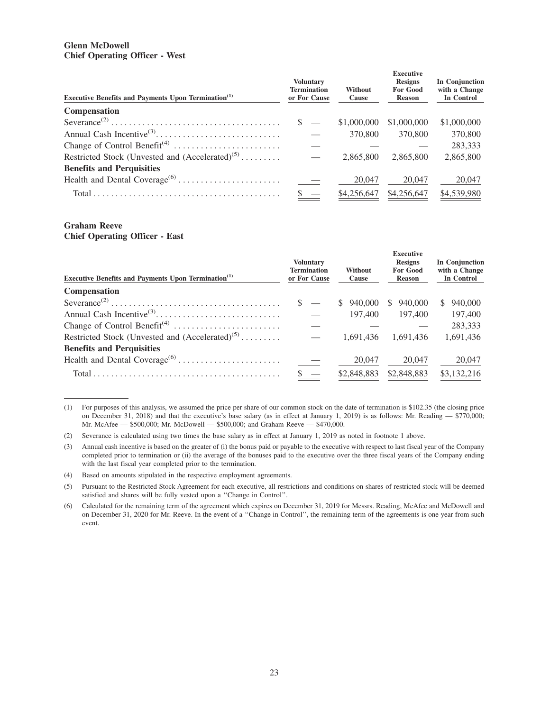## **Glenn McDowell Chief Operating Officer - West**

| <b>Executive Benefits and Payments Upon Termination</b> <sup>(1)</sup>                    | <b>Voluntary</b><br><b>Termination</b><br>or For Cause | Without<br>Cause | <b>Executive</b><br><b>Resigns</b><br><b>For Good</b><br><b>Reason</b> | In Conjunction<br>with a Change<br>In Control |
|-------------------------------------------------------------------------------------------|--------------------------------------------------------|------------------|------------------------------------------------------------------------|-----------------------------------------------|
| <b>Compensation</b>                                                                       |                                                        |                  |                                                                        |                                               |
| $Severance^{(2)} \dots \dots \dots \dots \dots \dots \dots \dots \dots \dots \dots \dots$ | $\mathcal{S}$ —                                        | \$1,000,000      | \$1,000,000                                                            | \$1,000,000                                   |
|                                                                                           |                                                        | 370,800          | 370,800                                                                | 370,800                                       |
|                                                                                           |                                                        |                  |                                                                        | 283,333                                       |
| Restricted Stock (Unvested and $(Accelerated)^{(5)}$                                      |                                                        | 2,865,800        | 2.865,800                                                              | 2,865,800                                     |
| <b>Benefits and Perquisities</b>                                                          |                                                        |                  |                                                                        |                                               |
|                                                                                           |                                                        | 20,047           | 20,047                                                                 | 20,047                                        |
|                                                                                           |                                                        | \$4,256,647      | \$4,256,647                                                            | \$4,539,980                                   |

## **Graham Reeve Chief Operating Officer - East**

| <b>Executive Benefits and Payments Upon Termination</b> <sup>(1)</sup>                    | <b>Voluntary</b><br><b>Termination</b><br>or For Cause | Without<br>Cause | <b>Executive</b><br><b>Resigns</b><br><b>For Good</b><br><b>Reason</b> | In Conjunction<br>with a Change<br>In Control |
|-------------------------------------------------------------------------------------------|--------------------------------------------------------|------------------|------------------------------------------------------------------------|-----------------------------------------------|
| Compensation                                                                              |                                                        |                  |                                                                        |                                               |
| $Severance^{(2)} \dots \dots \dots \dots \dots \dots \dots \dots \dots \dots \dots \dots$ | $\mathbb{S}$ —                                         | 940,000<br>S.    | 940,000<br>S.                                                          | 940,000<br>S.                                 |
|                                                                                           |                                                        | 197,400          | 197,400                                                                | 197,400                                       |
|                                                                                           |                                                        |                  |                                                                        | 283,333                                       |
| Restricted Stock (Unvested and $(Accelerated)^{(5)}$                                      |                                                        | 1.691.436        | 1.691.436                                                              | 1,691,436                                     |
| <b>Benefits and Perquisities</b>                                                          |                                                        |                  |                                                                        |                                               |
|                                                                                           |                                                        | 20,047           | 20,047                                                                 | 20,047                                        |
|                                                                                           |                                                        | \$2,848,883      | \$2,848,883                                                            | \$3,132,216                                   |

<sup>(1)</sup> For purposes of this analysis, we assumed the price per share of our common stock on the date of termination is \$102.35 (the closing price on December 31, 2018) and that the executive's base salary (as in effect at January 1, 2019) is as follows: Mr. Reading — \$770,000; Mr. McAfee — \$500,000; Mr. McDowell — \$500,000; and Graham Reeve — \$470,000.

<sup>(2)</sup> Severance is calculated using two times the base salary as in effect at January 1, 2019 as noted in footnote 1 above.

<sup>(3)</sup> Annual cash incentive is based on the greater of (i) the bonus paid or payable to the executive with respect to last fiscal year of the Company completed prior to termination or (ii) the average of the bonuses paid to the executive over the three fiscal years of the Company ending with the last fiscal year completed prior to the termination.

<sup>(4)</sup> Based on amounts stipulated in the respective employment agreements.

<sup>(5)</sup> Pursuant to the Restricted Stock Agreement for each executive, all restrictions and conditions on shares of restricted stock will be deemed satisfied and shares will be fully vested upon a ''Change in Control''.

<sup>(6)</sup> Calculated for the remaining term of the agreement which expires on December 31, 2019 for Messrs. Reading, McAfee and McDowell and on December 31, 2020 for Mr. Reeve. In the event of a ''Change in Control'', the remaining term of the agreements is one year from such event.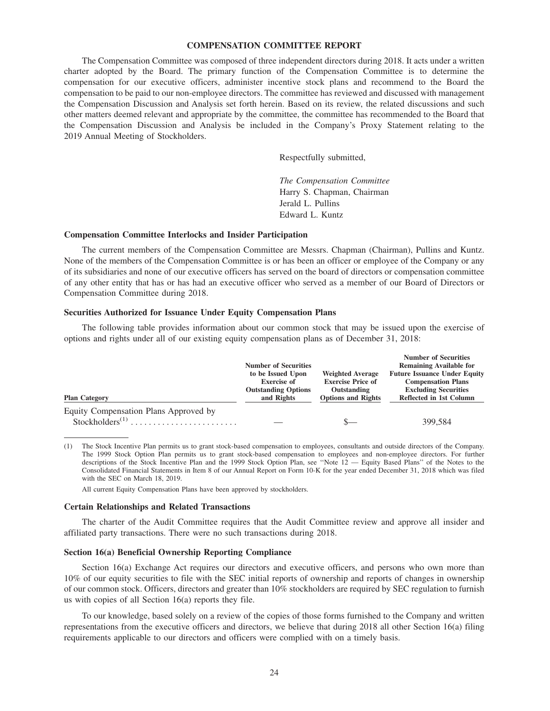## **COMPENSATION COMMITTEE REPORT**

The Compensation Committee was composed of three independent directors during 2018. It acts under a written charter adopted by the Board. The primary function of the Compensation Committee is to determine the compensation for our executive officers, administer incentive stock plans and recommend to the Board the compensation to be paid to our non-employee directors. The committee has reviewed and discussed with management the Compensation Discussion and Analysis set forth herein. Based on its review, the related discussions and such other matters deemed relevant and appropriate by the committee, the committee has recommended to the Board that the Compensation Discussion and Analysis be included in the Company's Proxy Statement relating to the 2019 Annual Meeting of Stockholders.

Respectfully submitted,

*The Compensation Committee* Harry S. Chapman, Chairman Jerald L. Pullins Edward L. Kuntz

#### **Compensation Committee Interlocks and Insider Participation**

The current members of the Compensation Committee are Messrs. Chapman (Chairman), Pullins and Kuntz. None of the members of the Compensation Committee is or has been an officer or employee of the Company or any of its subsidiaries and none of our executive officers has served on the board of directors or compensation committee of any other entity that has or has had an executive officer who served as a member of our Board of Directors or Compensation Committee during 2018.

#### **Securities Authorized for Issuance Under Equity Compensation Plans**

The following table provides information about our common stock that may be issued upon the exercise of options and rights under all of our existing equity compensation plans as of December 31, 2018:

|                                                               | <b>Number of Securities</b>                                                         |                                                                                                 | <b>Number of Securities</b><br><b>Remaining Available for</b>                                                              |
|---------------------------------------------------------------|-------------------------------------------------------------------------------------|-------------------------------------------------------------------------------------------------|----------------------------------------------------------------------------------------------------------------------------|
| <b>Plan Category</b>                                          | to be Issued Upon<br><b>Exercise of</b><br><b>Outstanding Options</b><br>and Rights | <b>Weighted Average</b><br><b>Exercise Price of</b><br>Outstanding<br><b>Options and Rights</b> | <b>Future Issuance Under Equity</b><br><b>Compensation Plans</b><br><b>Excluding Securities</b><br>Reflected in 1st Column |
| Equity Compensation Plans Approved by<br>$Stockholders^{(1)}$ |                                                                                     |                                                                                                 | 399,584                                                                                                                    |

(1) The Stock Incentive Plan permits us to grant stock-based compensation to employees, consultants and outside directors of the Company. The 1999 Stock Option Plan permits us to grant stock-based compensation to employees and non-employee directors. For further descriptions of the Stock Incentive Plan and the 1999 Stock Option Plan, see "Note 12 — Equity Based Plans" of the Notes to the Consolidated Financial Statements in Item 8 of our Annual Report on Form 10-K for the year ended December 31, 2018 which was filed with the SEC on March 18, 2019.

All current Equity Compensation Plans have been approved by stockholders.

#### **Certain Relationships and Related Transactions**

The charter of the Audit Committee requires that the Audit Committee review and approve all insider and affiliated party transactions. There were no such transactions during 2018.

#### **Section 16(a) Beneficial Ownership Reporting Compliance**

Section 16(a) Exchange Act requires our directors and executive officers, and persons who own more than 10% of our equity securities to file with the SEC initial reports of ownership and reports of changes in ownership of our common stock. Officers, directors and greater than 10% stockholders are required by SEC regulation to furnish us with copies of all Section 16(a) reports they file.

To our knowledge, based solely on a review of the copies of those forms furnished to the Company and written representations from the executive officers and directors, we believe that during 2018 all other Section 16(a) filing requirements applicable to our directors and officers were complied with on a timely basis.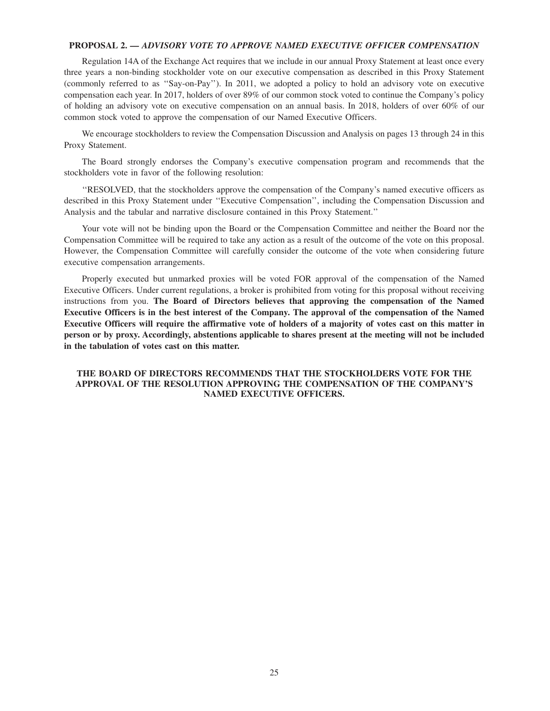## **PROPOSAL 2.** *— ADVISORY VOTE TO APPROVE NAMED EXECUTIVE OFFICER COMPENSATION*

Regulation 14A of the Exchange Act requires that we include in our annual Proxy Statement at least once every three years a non-binding stockholder vote on our executive compensation as described in this Proxy Statement (commonly referred to as ''Say-on-Pay''). In 2011, we adopted a policy to hold an advisory vote on executive compensation each year. In 2017, holders of over 89% of our common stock voted to continue the Company's policy of holding an advisory vote on executive compensation on an annual basis. In 2018, holders of over 60% of our common stock voted to approve the compensation of our Named Executive Officers.

We encourage stockholders to review the Compensation Discussion and Analysis on pages 13 through 24 in this Proxy Statement.

The Board strongly endorses the Company's executive compensation program and recommends that the stockholders vote in favor of the following resolution:

''RESOLVED, that the stockholders approve the compensation of the Company's named executive officers as described in this Proxy Statement under ''Executive Compensation'', including the Compensation Discussion and Analysis and the tabular and narrative disclosure contained in this Proxy Statement.''

Your vote will not be binding upon the Board or the Compensation Committee and neither the Board nor the Compensation Committee will be required to take any action as a result of the outcome of the vote on this proposal. However, the Compensation Committee will carefully consider the outcome of the vote when considering future executive compensation arrangements.

Properly executed but unmarked proxies will be voted FOR approval of the compensation of the Named Executive Officers. Under current regulations, a broker is prohibited from voting for this proposal without receiving instructions from you. **The Board of Directors believes that approving the compensation of the Named Executive Officers is in the best interest of the Company. The approval of the compensation of the Named Executive Officers will require the affirmative vote of holders of a majority of votes cast on this matter in person or by proxy. Accordingly, abstentions applicable to shares present at the meeting will not be included in the tabulation of votes cast on this matter.**

## **THE BOARD OF DIRECTORS RECOMMENDS THAT THE STOCKHOLDERS VOTE FOR THE APPROVAL OF THE RESOLUTION APPROVING THE COMPENSATION OF THE COMPANY'S NAMED EXECUTIVE OFFICERS.**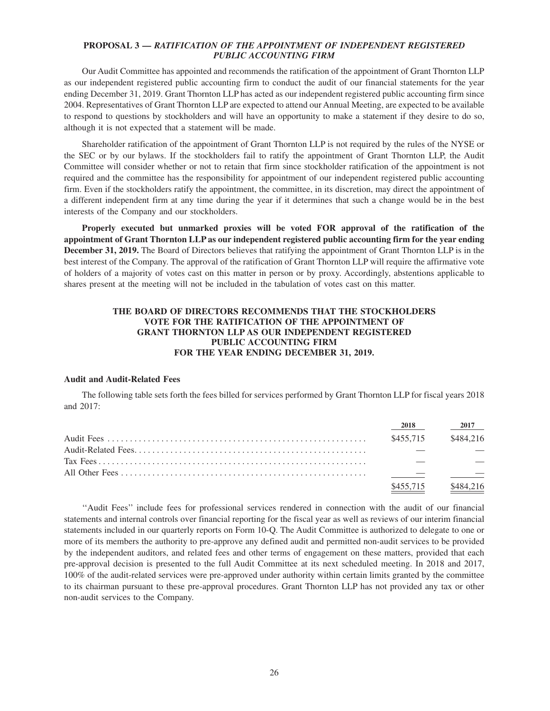## **PROPOSAL 3 —** *RATIFICATION OF THE APPOINTMENT OF INDEPENDENT REGISTERED PUBLIC ACCOUNTING FIRM*

Our Audit Committee has appointed and recommends the ratification of the appointment of Grant Thornton LLP as our independent registered public accounting firm to conduct the audit of our financial statements for the year ending December 31, 2019. Grant Thornton LLP has acted as our independent registered public accounting firm since 2004. Representatives of Grant Thornton LLP are expected to attend our Annual Meeting, are expected to be available to respond to questions by stockholders and will have an opportunity to make a statement if they desire to do so, although it is not expected that a statement will be made.

Shareholder ratification of the appointment of Grant Thornton LLP is not required by the rules of the NYSE or the SEC or by our bylaws. If the stockholders fail to ratify the appointment of Grant Thornton LLP, the Audit Committee will consider whether or not to retain that firm since stockholder ratification of the appointment is not required and the committee has the responsibility for appointment of our independent registered public accounting firm. Even if the stockholders ratify the appointment, the committee, in its discretion, may direct the appointment of a different independent firm at any time during the year if it determines that such a change would be in the best interests of the Company and our stockholders.

**Properly executed but unmarked proxies will be voted FOR approval of the ratification of the appointment of Grant Thornton LLP as our independent registered public accounting firm for the year ending December 31, 2019.** The Board of Directors believes that ratifying the appointment of Grant Thornton LLP is in the best interest of the Company. The approval of the ratification of Grant Thornton LLP will require the affirmative vote of holders of a majority of votes cast on this matter in person or by proxy. Accordingly, abstentions applicable to shares present at the meeting will not be included in the tabulation of votes cast on this matter.

# **THE BOARD OF DIRECTORS RECOMMENDS THAT THE STOCKHOLDERS VOTE FOR THE RATIFICATION OF THE APPOINTMENT OF GRANT THORNTON LLP AS OUR INDEPENDENT REGISTERED PUBLIC ACCOUNTING FIRM FOR THE YEAR ENDING DECEMBER 31, 2019.**

#### **Audit and Audit-Related Fees**

The following table sets forth the fees billed for services performed by Grant Thornton LLP for fiscal years 2018 and 2017:

| 2018      | 2017      |
|-----------|-----------|
| \$455.715 | \$484.216 |
|           |           |
|           |           |
|           |           |
| \$455.715 | \$484.216 |

''Audit Fees'' include fees for professional services rendered in connection with the audit of our financial statements and internal controls over financial reporting for the fiscal year as well as reviews of our interim financial statements included in our quarterly reports on Form 10-Q. The Audit Committee is authorized to delegate to one or more of its members the authority to pre-approve any defined audit and permitted non-audit services to be provided by the independent auditors, and related fees and other terms of engagement on these matters, provided that each pre-approval decision is presented to the full Audit Committee at its next scheduled meeting. In 2018 and 2017, 100% of the audit-related services were pre-approved under authority within certain limits granted by the committee to its chairman pursuant to these pre-approval procedures. Grant Thornton LLP has not provided any tax or other non-audit services to the Company.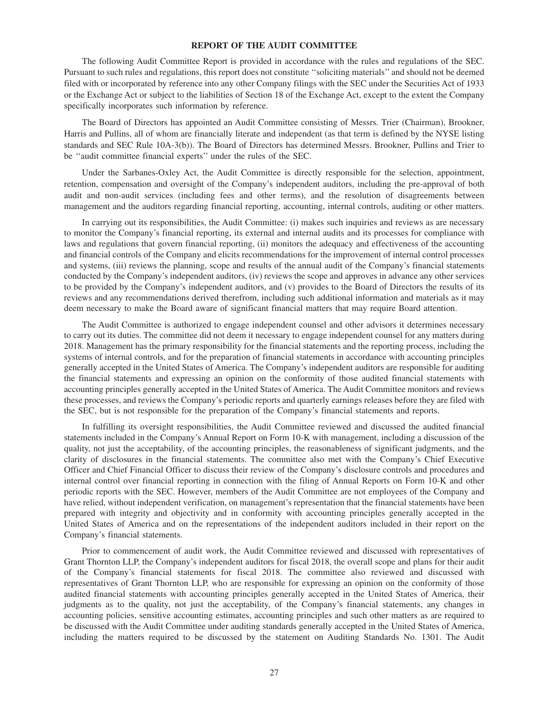## **REPORT OF THE AUDIT COMMITTEE**

The following Audit Committee Report is provided in accordance with the rules and regulations of the SEC. Pursuant to such rules and regulations, this report does not constitute ''soliciting materials'' and should not be deemed filed with or incorporated by reference into any other Company filings with the SEC under the Securities Act of 1933 or the Exchange Act or subject to the liabilities of Section 18 of the Exchange Act, except to the extent the Company specifically incorporates such information by reference.

The Board of Directors has appointed an Audit Committee consisting of Messrs. Trier (Chairman), Brookner, Harris and Pullins, all of whom are financially literate and independent (as that term is defined by the NYSE listing standards and SEC Rule 10A-3(b)). The Board of Directors has determined Messrs. Brookner, Pullins and Trier to be ''audit committee financial experts'' under the rules of the SEC.

Under the Sarbanes-Oxley Act, the Audit Committee is directly responsible for the selection, appointment, retention, compensation and oversight of the Company's independent auditors, including the pre-approval of both audit and non-audit services (including fees and other terms), and the resolution of disagreements between management and the auditors regarding financial reporting, accounting, internal controls, auditing or other matters.

In carrying out its responsibilities, the Audit Committee: (i) makes such inquiries and reviews as are necessary to monitor the Company's financial reporting, its external and internal audits and its processes for compliance with laws and regulations that govern financial reporting, (ii) monitors the adequacy and effectiveness of the accounting and financial controls of the Company and elicits recommendations for the improvement of internal control processes and systems, (iii) reviews the planning, scope and results of the annual audit of the Company's financial statements conducted by the Company's independent auditors, (iv) reviews the scope and approves in advance any other services to be provided by the Company's independent auditors, and (v) provides to the Board of Directors the results of its reviews and any recommendations derived therefrom, including such additional information and materials as it may deem necessary to make the Board aware of significant financial matters that may require Board attention.

The Audit Committee is authorized to engage independent counsel and other advisors it determines necessary to carry out its duties. The committee did not deem it necessary to engage independent counsel for any matters during 2018. Management has the primary responsibility for the financial statements and the reporting process, including the systems of internal controls, and for the preparation of financial statements in accordance with accounting principles generally accepted in the United States of America. The Company's independent auditors are responsible for auditing the financial statements and expressing an opinion on the conformity of those audited financial statements with accounting principles generally accepted in the United States of America. The Audit Committee monitors and reviews these processes, and reviews the Company's periodic reports and quarterly earnings releases before they are filed with the SEC, but is not responsible for the preparation of the Company's financial statements and reports.

In fulfilling its oversight responsibilities, the Audit Committee reviewed and discussed the audited financial statements included in the Company's Annual Report on Form 10-K with management, including a discussion of the quality, not just the acceptability, of the accounting principles, the reasonableness of significant judgments, and the clarity of disclosures in the financial statements. The committee also met with the Company's Chief Executive Officer and Chief Financial Officer to discuss their review of the Company's disclosure controls and procedures and internal control over financial reporting in connection with the filing of Annual Reports on Form 10-K and other periodic reports with the SEC. However, members of the Audit Committee are not employees of the Company and have relied, without independent verification, on management's representation that the financial statements have been prepared with integrity and objectivity and in conformity with accounting principles generally accepted in the United States of America and on the representations of the independent auditors included in their report on the Company's financial statements.

Prior to commencement of audit work, the Audit Committee reviewed and discussed with representatives of Grant Thornton LLP, the Company's independent auditors for fiscal 2018, the overall scope and plans for their audit of the Company's financial statements for fiscal 2018. The committee also reviewed and discussed with representatives of Grant Thornton LLP, who are responsible for expressing an opinion on the conformity of those audited financial statements with accounting principles generally accepted in the United States of America, their judgments as to the quality, not just the acceptability, of the Company's financial statements, any changes in accounting policies, sensitive accounting estimates, accounting principles and such other matters as are required to be discussed with the Audit Committee under auditing standards generally accepted in the United States of America, including the matters required to be discussed by the statement on Auditing Standards No. 1301. The Audit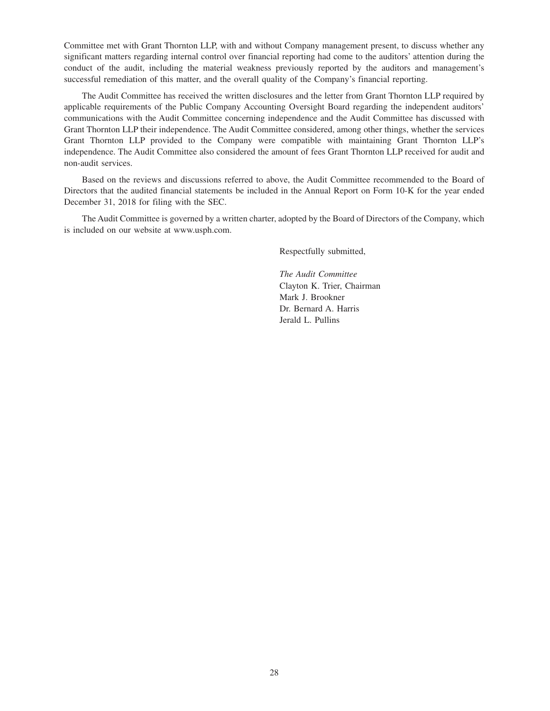Committee met with Grant Thornton LLP, with and without Company management present, to discuss whether any significant matters regarding internal control over financial reporting had come to the auditors' attention during the conduct of the audit, including the material weakness previously reported by the auditors and management's successful remediation of this matter, and the overall quality of the Company's financial reporting.

The Audit Committee has received the written disclosures and the letter from Grant Thornton LLP required by applicable requirements of the Public Company Accounting Oversight Board regarding the independent auditors' communications with the Audit Committee concerning independence and the Audit Committee has discussed with Grant Thornton LLP their independence. The Audit Committee considered, among other things, whether the services Grant Thornton LLP provided to the Company were compatible with maintaining Grant Thornton LLP's independence. The Audit Committee also considered the amount of fees Grant Thornton LLP received for audit and non-audit services.

Based on the reviews and discussions referred to above, the Audit Committee recommended to the Board of Directors that the audited financial statements be included in the Annual Report on Form 10-K for the year ended December 31, 2018 for filing with the SEC.

The Audit Committee is governed by a written charter, adopted by the Board of Directors of the Company, which is included on our website at www.usph.com.

Respectfully submitted,

*The Audit Committee* Clayton K. Trier, Chairman Mark J. Brookner Dr. Bernard A. Harris Jerald L. Pullins